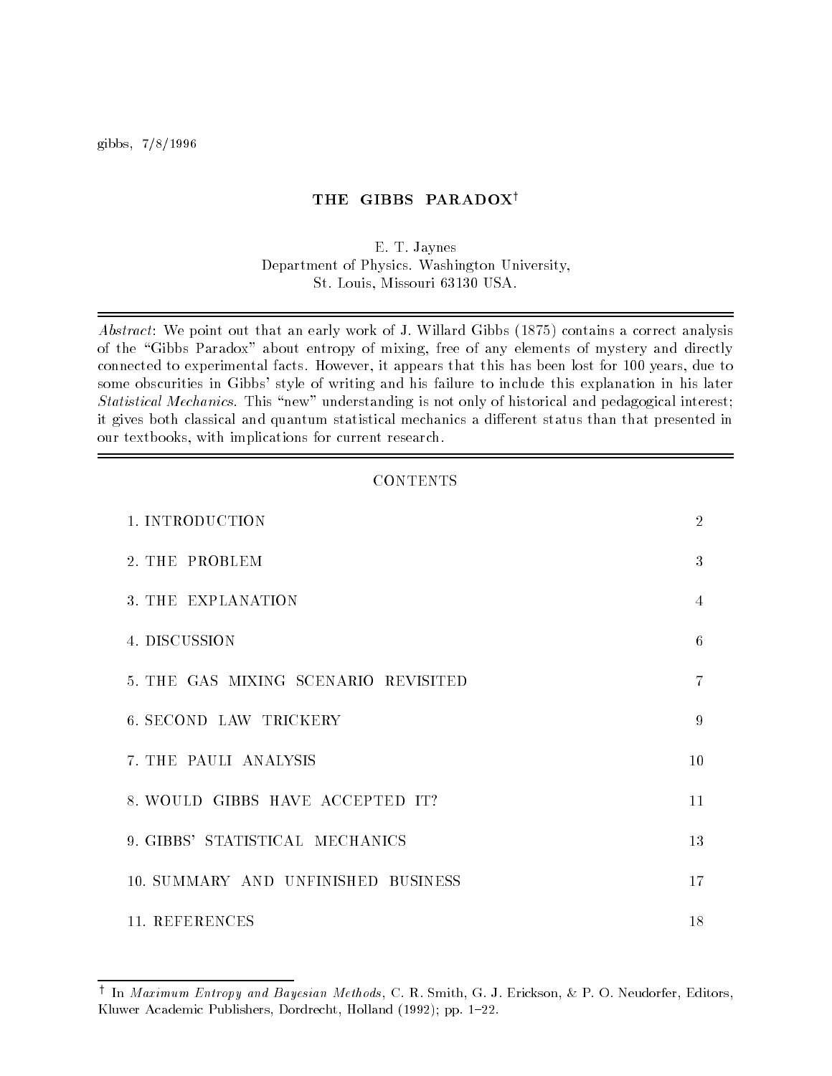gibbs, 7/8/1996

# THE GIBBS PARADOX<sup>†</sup>

E. T. Jaynes Department of Physics. Washington University, St. Louis, Missouri 63130 USA.

Abstract: We point out that an early work of J. Willard Gibbs (1875) contains a correct analysis of the "Gibbs Paradox" about entropy of mixing, free of any elements of mystery and directly connected to experimental facts. However, it appears that this has been lost for 100 years, due to some obscurities in Gibbs' style of writing and his failure to include this explanation in his later Statistical Mechanics. This "new" understanding is not only of historical and pedagogical interest; it gives both classical and quantum statistical mechanics a different status than that presented in our textbooks, with implications for current research.

| 1. INTRODUCTION                      | $\overline{2}$ |
|--------------------------------------|----------------|
| 2. THE PROBLEM                       | 3              |
| 3. THE EXPLANATION                   | $\overline{4}$ |
| 4. DISCUSSION                        | 6              |
| 5. THE GAS MIXING SCENARIO REVISITED | 7              |
| 6. SECOND LAW TRICKERY               | 9              |
| 7. THE PAULI ANALYSIS                | 10             |
| 8. WOULD GIBBS HAVE ACCEPTED IT?     | 11             |
| 9. GIBBS' STATISTICAL MECHANICS      | 13             |
| 10. SUMMARY AND UNFINISHED BUSINESS  | 17             |
| 11. REFERENCES                       | 18             |

<sup>y</sup> In Maximum Entropy and Bayesian Methods , C. R. Smith, G. J. Erickson, & P. O. Neudorfer, Editors, Kluwer Academic Publishers, Dordrecht, Holland (1992); pp. 1-22.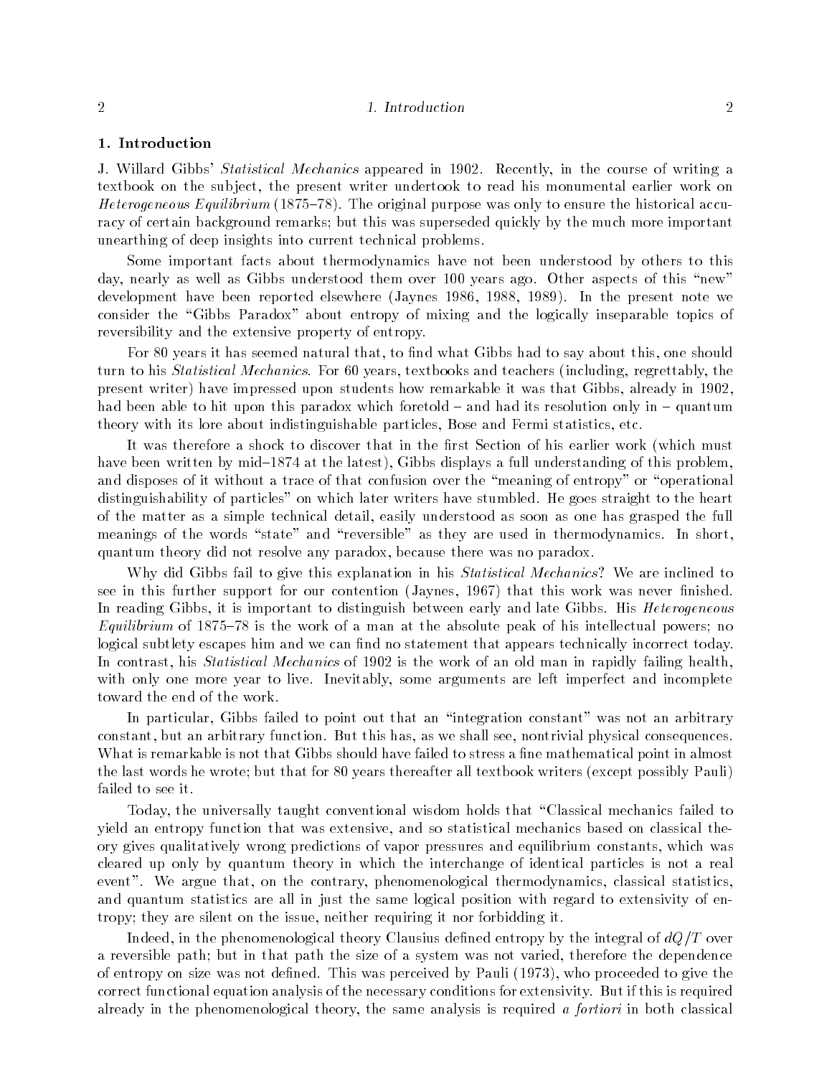### 1. Introduction

J. Willard Gibbs' Statistical Mechanics appeared in 1902. Recently, in the course of writing a textbook on the sub ject, the present writer undertook to read his monumental earlier work on *Heterogeneous Equilibrium* (1875–78). The original purpose was only to ensure the historical accuracy of certain background remarks; but this was superseded quickly by the much more important unearthing of deep insights into current technical problems.

Some important facts about thermodynamics have not been understood by others to this day, nearly as well as Gibbs understood them over 100 years ago. Other aspects of this "new" development have been reported elsewhere (Jaynes 1986, 1988, 1989). In the present note we consider the "Gibbs Paradox" about entropy of mixing and the logically inseparable topics of reversibility and the extensive property of entropy.

For 80 years it has seemed natural that, to find what Gibbs had to say about this, one should turn to his Statistical Mechanics. For 60 years, textbooks and teachers (including, regrettably, the present writer) have impressed upon students how remarkable it was that Gibbs, already in 1902, had been able to hit upon this paradox which foretold  $-$  and had its resolution only in  $-$  quantum theory with its lore about indistinguishable particles, Bose and Fermi statistics, etc.

It was therefore a shock to discover that in the first Section of his earlier work (which must have been written by mid-1874 at the latest), Gibbs displays a full understanding of this problem, and disposes of it without a trace of that confusion over the "meaning of entropy" or "operational distinguishability of particles" on which later writers have stumbled. He goes straight to the heart of the matter as a simple technical detail, easily understood as soon as one has grasped the full meanings of the words "state" and "reversible" as they are used in thermodynamics. In short, quantum theory did not resolve any paradox, because there was no paradox.

Why did Gibbs fail to give this explanation in his *Statistical Mechanics*? We are inclined to see in this further support for our contention (Jaynes, 1967) that this work was never finished. In reading Gibbs, it is important to distinguish between early and late Gibbs. His *Heterogeneous Equilibrium* of 1875–78 is the work of a man at the absolute peak of his intellectual powers; no logical subtlety escapes him and we can find no statement that appears technically incorrect today. In contrast, his *Statistical Mechanics* of 1902 is the work of an old man in rapidly failing health. with only one more year to live. Inevitably, some arguments are left imperfect and incomplete toward the end of the work.

In particular, Gibbs failed to point out that an "integration constant" was not an arbitrary constant, but an arbitrary function. But this has, as we shall see, nontrivial physical consequences. What is remarkable is not that Gibbs should have failed to stress a fine mathematical point in almost the last words he wrote; but that for 80 years thereafter all textbook writers (except possibly Pauli) failed to see it.

Today, the universally taught conventional wisdom holds that \Classical mechanics failed to yield an entropy function that was extensive, and so statistical mechanics based on classical theory gives qualitatively wrong predictions of vapor pressures and equilibrium constants, which was cleared up only by quantum theory in which the interchange of identical particles is not a real event". We argue that, on the contrary, phenomenological thermodynamics, classical statistics, and quantum statistics are all in just the same logical position with regard to extensivity of entropy; they are silent on the issue, neither requiring it nor forbidding it.

Indeed, in the phenomenological theory Clausius defined entropy by the integral of  $dQ/T$  over a reversible path; but in that path the size of a system was not varied, therefore the dependence of entropy on size was not dened. This was perceived by Pauli (1973), who proceeded to give the correct functional equation analysis of the necessary conditions for extensivity. But if this is required already in the phenomenological theory, the same analysis is required a fortiori in both classical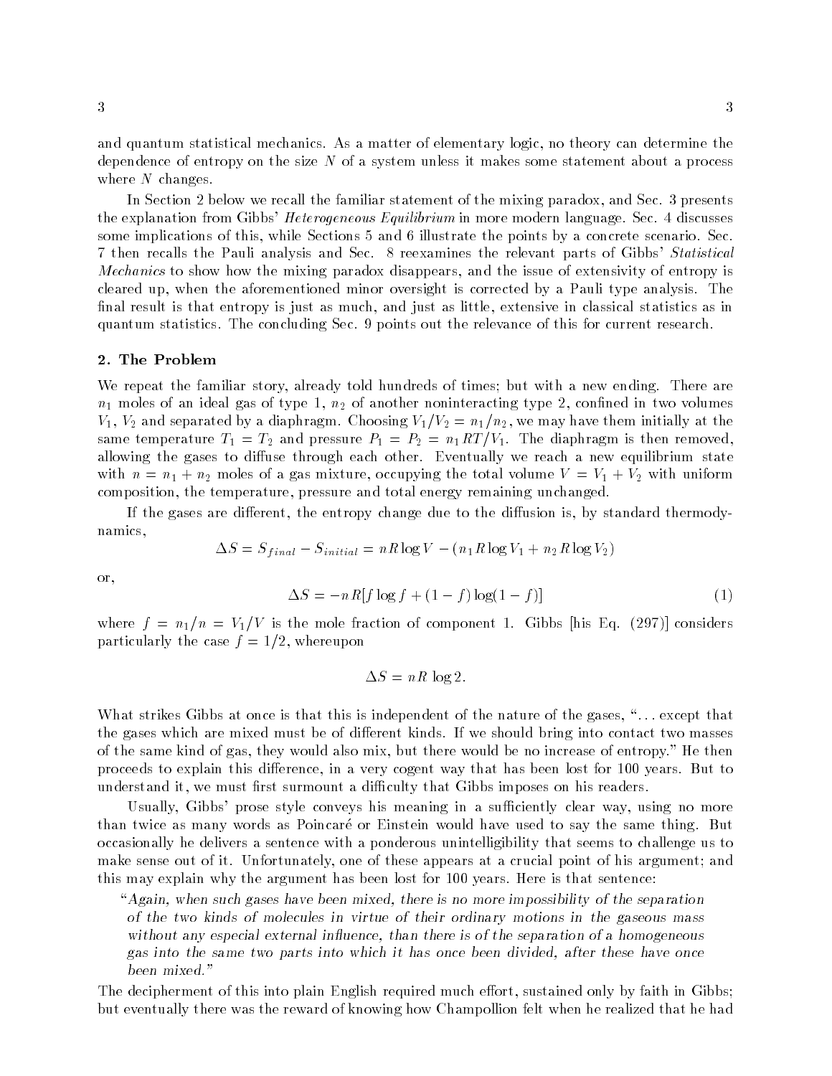3

and quantum statistical mechanics. As a matter of elementary logic, no theory can determine the dependence of entropy on the size  $N$  of a system unless it makes some statement about a process where  $N$  changes.

In Section 2 below we recall the familiar statement of the mixing paradox, and Sec. 3 presents the explanation from Gibbs' *Heterogeneous Equilibrium* in more modern language. Sec. 4 discusses some implications of this, while Sections 5 and 6 illustrate the points by a concrete scenario. Sec. 7 then recalls the Pauli analysis and Sec. 8 reexamines the relevant parts of Gibbs' Statistical Mechanics to show how the mixing paradox disappears, and the issue of extensivity of entropy is cleared up, when the aforementioned minor oversight is corrected byaPauli type analysis. The final result is that entropy is just as much, and just as little, extensive in classical statistics as in quantum statistics. The concluding Sec. 9 points out the relevance of this for current research.

# 2. The Problem

We repeat the familiar story, already told hundreds of times; but with a new ending. There are  $n_1$  moles of an ideal gas of type 1,  $n_2$  of another noninteracting type 2, confined in two volumes  $V_1$ ,  $V_2$  and separated by a diaphragm. Choosing  $V_1/V_2 = n_1/n_2$ , we may have them initially at the same temperature  $T_1 = T_2$  and pressure  $P_1 = P_2 = n_1 RT/V_1$ . The diaphragm is then removed, allowing the gases to diffuse through each other. Eventually we reach a new equilibrium state with  $n = n_1 + n_2$  moles of a gas mixture, occupying the total volume  $V = V_1 + V_2$  with uniform composition, the temperature, pressure and total energy remaining unchanged.

If the gases are different, the entropy change due to the diffusion is, by standard thermodynamics,

$$
\Delta S = S_{final} - S_{initial} = nR \log V - (n_1 R \log V_1 + n_2 R \log V_2)
$$

or,

$$
\Delta S = -nR[f \log f + (1 - f) \log(1 - f)]\tag{1}
$$

where  $f = n_1/n = V_1/V$  is the mole fraction of component 1. Gibbs [his Eq. (297)] considers particularly the case  $f = 1/2$ , whereupon

$$
\Delta S = nR \log 2.
$$

What strikes Gibbs at once is that this is independent of the nature of the gases, "... except that the gases which are mixed must be of different kinds. If we should bring into contact two masses of the same kind of gas, they would also mix, but there would be no increase of entropy." He then proceeds to explain this difference, in a very cogent way that has been lost for 100 years. But to understand it, we must first surmount a difficulty that Gibbs imposes on his readers.

Usually, Gibbs' prose style conveys his meaning in a sufficiently clear way, using no more than twice as many words as Poincaré or Einstein would have used to say the same thing. But occasionally he delivers a sentence with a ponderous unintelligibility that seems to challenge us to make sense out of it. Unfortunately, one of these appears at a crucial point of his argument; and this may explain why the argument has been lost for 100 years. Here is that sentence:

"Again, when such gases have been mixed, there is no more impossibility of the separation of the two kinds of molecules in virtue of their ordinary motions in the gaseous mass without any especial external influence, than there is of the separation of a homogeneous gas into the same two parts into which it has once been divided, after these have once been mixed."

The decipherment of this into plain English required much effort, sustained only by faith in Gibbs; but eventually there was the reward of knowing how Champollion felt when he realized that he had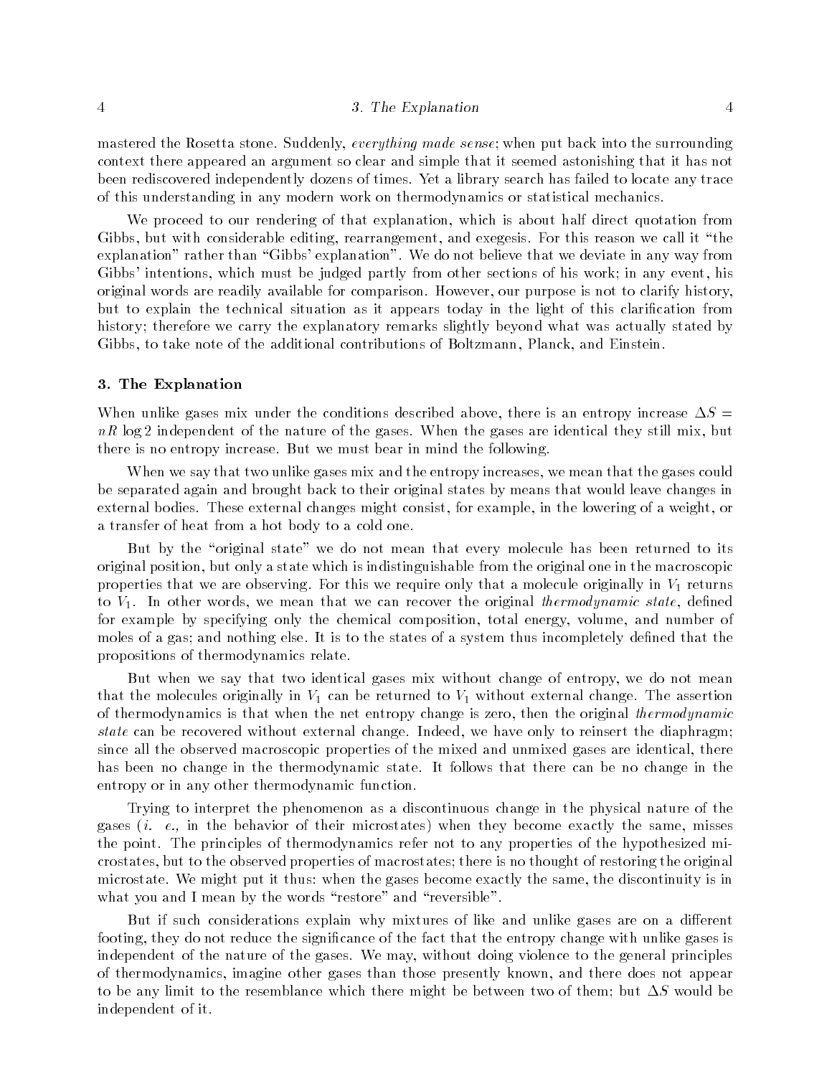mastered the Rosetta stone. Suddenly, *everything made sense*; when put back into the surrounding context there appeared an argument so clear and simple that it seemed astonishing that it has not been rediscovered independently dozens of times. Yet a library search has failed to locate any trace of this understanding in any modern work on thermodynamics or statistical mechanics.

We proceed to our rendering of that explanation, which is about half direct quotation from Gibbs, but with considerable editing, rearrangement, and exegesis. For this reason we call it "the explanation" rather than "Gibbs' explanation". We do not believe that we deviate in any way from Gibbs' intentions, which must be judged partly from other sections of his work; in any event, his original words are readily available for comparison. However, our purpose is not to clarify history, but to explain the technical situation as it appears today in the light of this clarication from history; therefore we carry the explanatory remarks slightly beyond what was actually stated by Gibbs, to take note of the additional contributions of Boltzmann, Planck, and Einstein.

#### 3. The Explanation

When unlike gases mix under the conditions described above, there is an entropy increase  $\Delta S =$  $nR$  log 2 independent of the nature of the gases. When the gases are identical they still mix, but there is no entropy increase. But we must bear in mind the following.

When we say that two unlike gases mix and the entropy increases, we mean that the gases could be separated again and brought back to their original states by means that would leave changes in external bodies. These external changes might consist, for example, in the lowering of a weight, or a transfer of heat from a hot body to a cold one.

But by the "original state" we do not mean that every molecule has been returned to its original position, but only a state which is indistinguishable from the original one in the macroscopic properties that we are observing. For this we require only that a molecule originally in  $V_1$  returns to  $V_1$ . In other words, we mean that we can recover the original thermodynamic state, defined for example by specifying only the chemical composition, total energy, volume, and number of moles of a gas; and nothing else. It is to the states of a system thus incompletely defined that the propositions of thermodynamics relate.

But when we say that two identical gases mix without change of entropy, we do not mean that the molecules originally in  $V_1$  can be returned to  $V_1$  without external change. The assertion of thermodynamics is that when the net entropy change is zero, then the original thermodynamic state can be recovered without external change. Indeed, we have only to reinsert the diaphragm; since all the observed macroscopic properties of the mixed and unmixed gases are identical, there has been no change in the thermodynamic state. It follows that there can be no change in the entropy or in any other thermodynamic function.

Trying to interpret the phenomenon as a discontinuous change in the physical nature of the gases (*i. e.*, in the behavior of their microstates) when they become exactly the same, misses the point. The principles of thermodynamics refer not to any properties of the hypothesized microstates, but to the observed properties of macrostates; there is no thought of restoring the original microstate. We might put it thus: when the gases become exactly the same, the discontinuity is in what you and I mean by the words "restore" and "reversible".

But if such considerations explain why mixtures of like and unlike gases are on a different footing, they do not reduce the signicance of the fact that the entropy change with unlike gases is independent of the nature of the gases. We may, without doing violence to the general principles of thermodynamics, imagine other gases than those presently known, and there does not appear to be any limit to the resemblance which there might be between two of them; but  $\Delta S$  would be independent of it.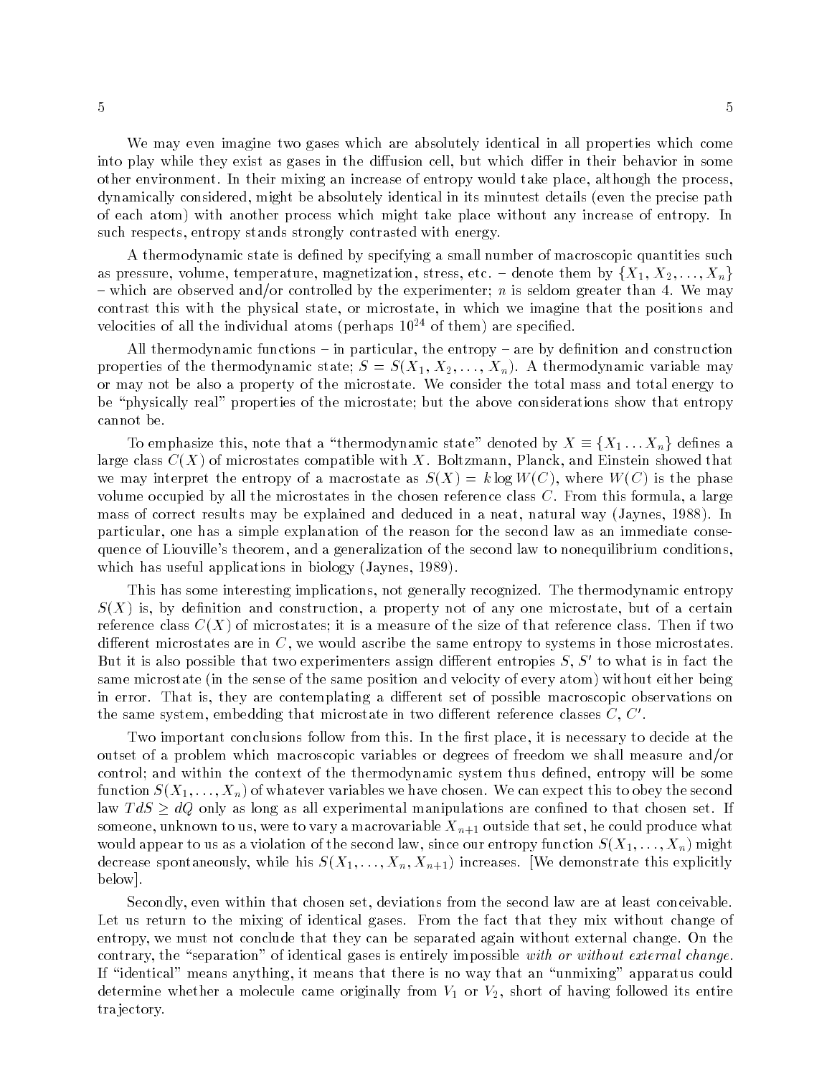We may even imagine two gases which are absolutely identical in all properties which come into play while they exist as gases in the diffusion cell, but which differ in their behavior in some other environment. In their mixing an increase of entropy would take place, although the process, dynamically considered, might be absolutely identical in its minutest details (even the precise path of each atom) with another process which might take place without any increase of entropy. In such respects, entropy stands strongly contrasted with energy.

A thermodynamic state is defined by specifying a small number of macroscopic quantities such as pressure, volume, temperature, magnetization, stress, etc. - denote them by  $\{X_1, X_2, \ldots, X_n\}$  $-$  which are observed and/or controlled by the experimenter; n is seldom greater than 4. We may contrast this with the physical state, or microstate, in which we imagine that the positions and velocities of all the individual atoms (perhaps  $10^{24}$  of them) are specified.

All thermodynamic functions  $-$  in particular, the entropy  $-$  are by definition and construction properties of the thermodynamic state;  $S = S(X_1, X_2, \ldots, X_n)$ . A thermodynamic variable may or may not be also a property of the microstate. We consider the total mass and total energy to be "physically real" properties of the microstate; but the above considerations show that entropy cannot be.

To emphasize this, note that a "thermodynamic state" denoted by  $X \equiv \{X_1 \ldots X_n\}$  defines a large class  $C(X)$  of microstates compatible with X. Boltzmann, Planck, and Einstein showed that we may interpret the entropy of a macrostate as  $S(X) = k \log W(C)$ , where  $W(C)$  is the phase volume occupied by all the microstates in the chosen reference class  $C$ . From this formula, a large mass of correct results may be explained and deduced in a neat, natural way (Jaynes, 1988). In particular, one has a simple explanation of the reason for the second law as an immediate consequence of Liouville's theorem, and a generalization of the second law to nonequilibrium conditions, which has useful applications in biology (Jaynes, 1989).

This has some interesting implications, not generally recognized. The thermodynamic entropy  $S(X)$  is, by definition and construction, a property not of any one microstate, but of a certain reference class  $C(X)$  of microstates; it is a measure of the size of that reference class. Then if two different microstates are in  $C$ , we would ascribe the same entropy to systems in those microstates. But it is also possible that two experimenters assign different entropies  $S, S'$  to what is in fact the same microstate (in the sense of the same position and velocity of every atom) without either being in error. That is, they are contemplating a different set of possible macroscopic observations on the same system, embedding that microstate in two different reference classes  $C, C'$ .

Two important conclusions follow from this. In the first place, it is necessary to decide at the outset of a problem which macroscopic variables or degrees of freedom we shall measure and/or control; and within the context of the thermodynamic system thus defined, entropy will be some function  $S(X_1, \ldots, X_n)$  of whatever variables we have chosen. We can expect this to obey the second law  $TdS \geq dQ$  only as long as all experimental manipulations are confined to that chosen set. If someone, unknown to us, were to vary a macrovariable  $X_{n+1}$  outside that set, he could produce what would appear to us as a violation of the second law, since our entropy function  $S(X_1, \ldots, X_n)$  might decrease spontaneously, while his  $S(X_1, \ldots, X_n, X_{n+1})$  increases. [We demonstrate this explicitly below].

Secondly, even within that chosen set, deviations from the second law are at least conceivable. Let us return to the mixing of identical gases. From the fact that they mix without change of entropy, we must not conclude that they can be separated again without external change. On the contrary, the "separation" of identical gases is entirely impossible with or without external change. If "identical" means anything, it means that there is no way that an "unmixing" apparatus could determine whether a molecule came originally from  $V_1$  or  $V_2$ , short of having followed its entire tra jectory.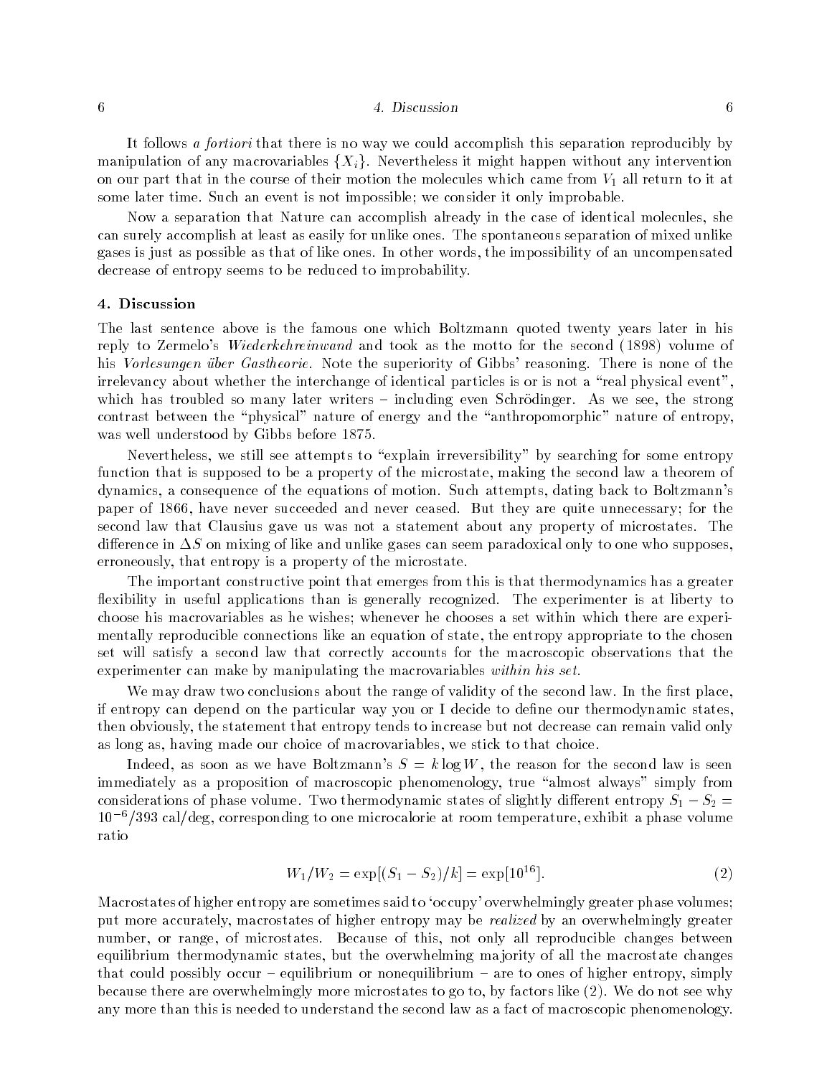#### 4. Discussion

It follows a fortiori that there is no way we could accomplish this separation reproducibly by manipulation of any macrovariables  $\{X_i\}$ . Nevertheless it might happen without any intervention on our part that in the course of their motion the molecules which came from  $V_1$  all return to it at some later time. Such an event is not impossible; we consider it only improbable.

Now a separation that Nature can accomplish already in the case of identical molecules, she can surely accomplish at least as easily for unlike ones. The spontaneous separation of mixed unlike gases is just as possible as that of like ones. In other words, the impossibility of an uncompensated decrease of entropy seems to be reduced to improbability.

### 4. Discussion

The last sentence above is the famous one which Boltzmann quoted twenty years later in his reply to Zermelo's Wiederkehreinwand and took as the motto for the second (1898) volume of his *Vorlesungen über Gastheorie*. Note the superiority of Gibbs' reasoning. There is none of the irrelevancy about whether the interchange of identical particles is or is not a \real physical event", which has troubled so many later writers - including even Schrödinger. As we see, the strong contrast between the "physical" nature of energy and the "anthropomorphic" nature of entropy, was well understood by Gibbs before 1875.

Nevertheless, we still see attempts to "explain irreversibility" by searching for some entropy function that is supposed to be a property of the microstate, making the second law a theorem of dynamics, a consequence of the equations of motion. Such attempts, dating back to Boltzmann's paper of 1866, have never succeeded and never ceased. But they are quite unnecessary; for the second law that Clausius gave us was not a statement about any property of microstates. The difference in  $\Delta S$  on mixing of like and unlike gases can seem paradoxical only to one who supposes. erroneously, that entropy is a property of the microstate.

The important constructive point that emerges from this is that thermodynamics has a greater flexibility in useful applications than is generally recognized. The experimenter is at liberty to choose his macrovariables as he wishes; whenever he chooses a set within which there are experimentally reproducible connections like an equation of state, the entropy appropriate to the chosen set will satisfy a second law that correctly accounts for the macroscopic observations that the experimenter can make by manipulating the macrovariables within his set.

We may draw two conclusions about the range of validity of the second law. In the first place, if entropy can depend on the particular way you or I decide to dene our thermodynamic states, then obviously, the statement that entropy tends to increase but not decrease can remain valid only as long as, having made our choice of macrovariables, we stick to that choice.

Indeed, as soon as we have Boltzmann's  $S = k \log W$ , the reason for the second law is seen immediately as a proposition of macroscopic phenomenology, true "almost always" simply from considerations of phase volume. Two thermodynamic states of slightly different entropy  $S_1 - S_2 =$  $10^{-6}/393$  cal/deg, corresponding to one microcalorie at room temperature, exhibit a phase volume ratio

$$
W_1/W_2 = \exp[(S_1 - S_2)/k] = \exp[10^{16}].
$$
\n(2)

Macrostates of higher entropy are sometimes said to `occupy' overwhelmingly greater phase volumes; put more accurately, macrostates of higher entropy may be realized by an overwhelmingly greater number, or range, of microstates. Because of this, not only all reproducible changes between equilibrium thermodynamic states, but the overwhelming majority of all the macrostate changes that could possibly occur  $-$  equilibrium or nonequilibrium  $-$  are to ones of higher entropy, simply because there are overwhelmingly more microstates to go to, by factors like (2). We do not see why any more than this is needed to understand the second law as a fact of macroscopic phenomenology.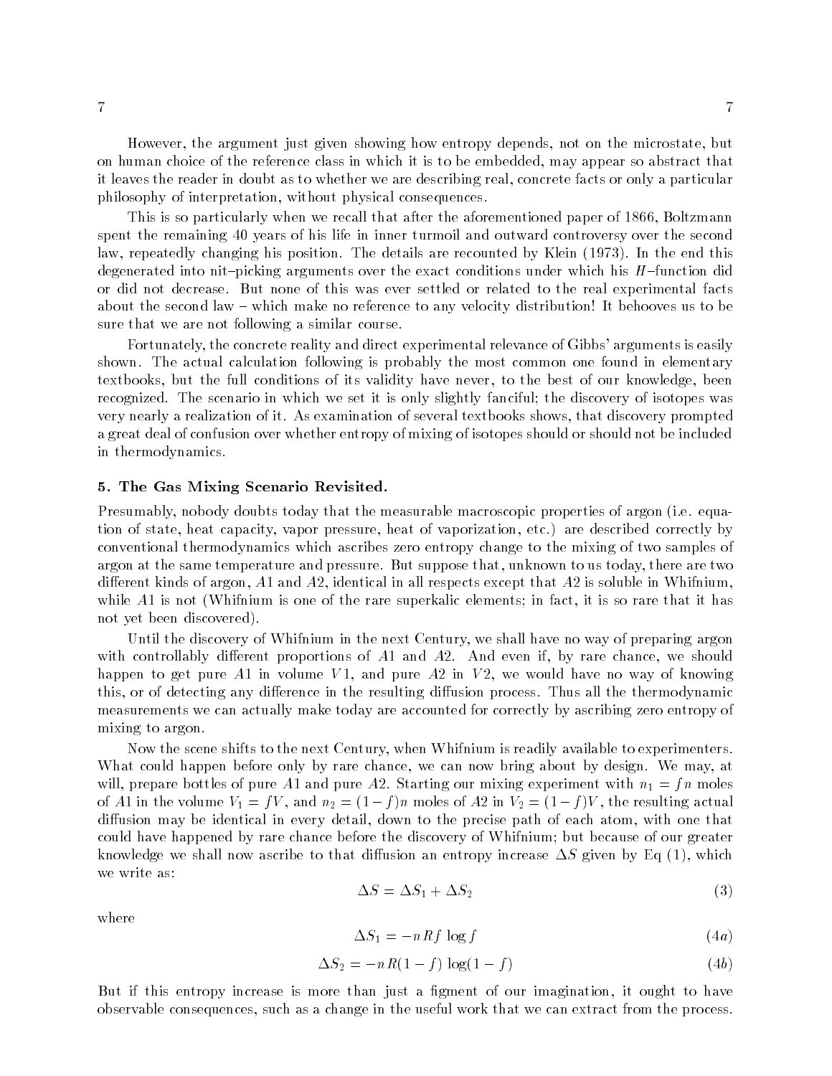$\overline{7}$ 

However, the argument just given showing how entropy depends, not on the microstate, but on human choice of the reference class in which it is to be embedded, may appear so abstract that it leaves the reader in doubt as to whether we are describing real, concrete facts or only a particular philosophy of interpretation, without physical consequences.

This is so particularly when we recall that after the aforementioned paper of 1866, Boltzmann spent the remaining 40 years of his life in inner turmoil and outward controversy over the second law, repeatedly changing his position. The details are recounted by Klein (1973). In the end this degenerated into nit-picking arguments over the exact conditions under which his  $H$ -function did or did not decrease. But none of this was ever settled or related to the real experimental facts about the second law – which make no reference to any velocity distribution! It behooves us to be sure that we are not following a similar course.

Fortunately, the concrete reality and direct experimental relevance of Gibbs' arguments is easily shown. The actual calculation following is probably the most common one found in elementary textbooks, but the full conditions of its validity have never, to the best of our knowledge, been recognized. The scenario in which we set it is only slightly fanciful; the discovery of isotopes was very nearly a realization of it. As examination of several textbooks shows, that discovery prompted a great deal of confusion over whether entropy of mixing of isotopes should or should not be included in thermodynamics.

## 5. The Gas Mixing Scenario Revisited.

Presumably, nobody doubts today that the measurable macroscopic properties of argon (i.e. equation of state, heat capacity, vapor pressure, heat of vaporization, etc.) are described correctly by conventional thermodynamics which ascribes zero entropy change to the mixing of two samples of argon at the same temperature and pressure. But suppose that, unknown to us today, there are two different kinds of argon, A1 and A2, identical in all respects except that A2 is soluble in Whifnium, while A1 is not (Whifnium is one of the rare superkalic elements; in fact, it is so rare that it has not yet been discovered).

Until the discovery of Whifnium in the next Century, we shall have no way of preparing argon with controllably different proportions of  $A1$  and  $A2$ . And even if, by rare chance, we should happen to get pure A1 in volume  $V_1$ , and pure A2 in  $V_2$ , we would have no way of knowing this, or of detecting any difference in the resulting diffusion process. Thus all the thermodynamic measurements we can actually make today are accounted for correctly by ascribing zero entropy of mixing to argon.

Now the scene shifts to the next Century, when Whifnium is readily available to experimenters. What could happen before only by rare chance, we can now bring about by design. We may, at will, prepare bottles of pure A1 and pure A2. Starting our mixing experiment with  $n_1 = fn$  moles of A1 in the volume  $V_1 = fV$ , and  $n_2 = (1 - f)n$  moles of A2 in  $V_2 = (1 - f)V$ , the resulting actual diffusion may be identical in every detail, down to the precise path of each atom, with one that could have happened by rare chance before the discovery of Whifnium; but because of our greater knowledge we shall now ascribe to that diffusion an entropy increase  $\Delta S$  given by Eq (1), which we write as:

$$
\Delta S = \Delta S_1 + \Delta S_2 \tag{3}
$$

where

$$
\Delta S_1 = -nRf \log f \tag{4a}
$$

$$
\Delta S_2 = -nR(1-f)\log(1-f) \tag{4b}
$$

But if this entropy increase is more than just a gment of our imagination, it ought to have observable consequences, such as a change in the useful work that we can extract from the process.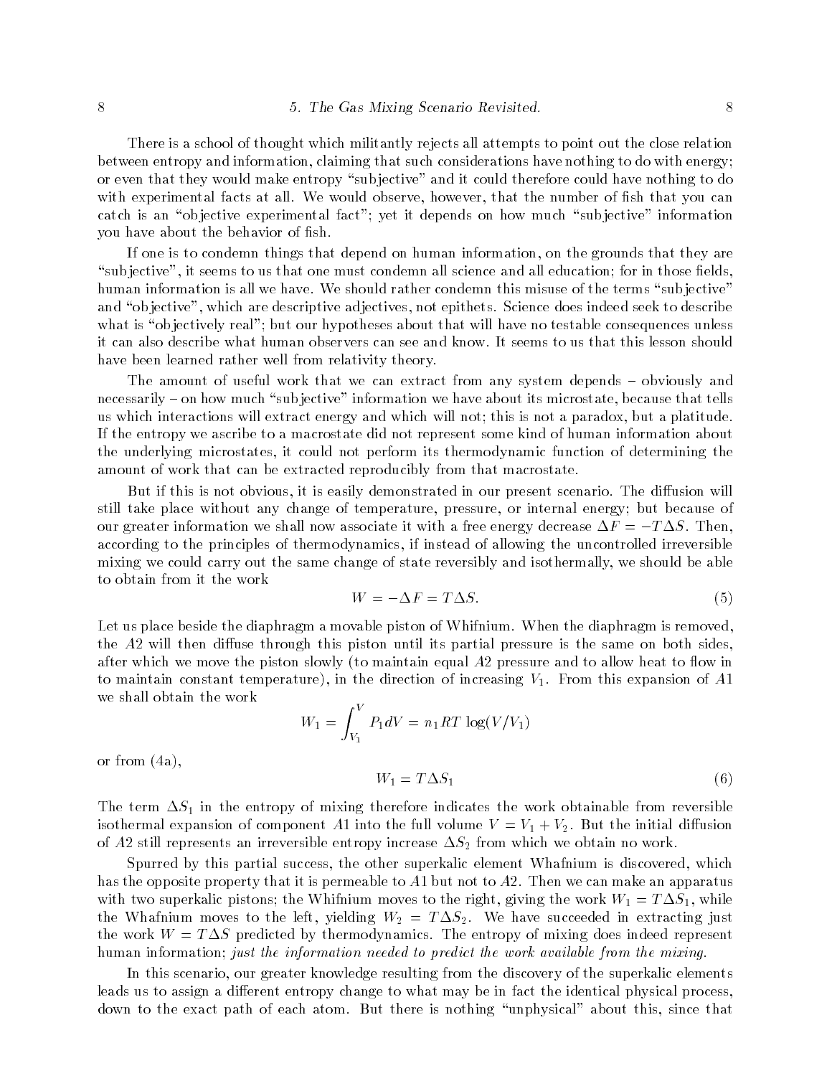There is a school of thought which militantly rejects all attempts to point out the close relation between entropy and information, claiming that such considerations have nothing to do with energy; or even that they would make entropy "subjective" and it could therefore could have nothing to do with experimental facts at all. We would observe, however, that the number of fish that you can catch is an "objective experimental fact"; yet it depends on how much "subjective" information you have about the behavior of fish.

If one is to condemn things that depend on human information, on the grounds that they are "subjective", it seems to us that one must condemn all science and all education; for in those fields, human information is all we have. We should rather condemn this misuse of the terms "subjective" and "objective", which are descriptive adjectives, not epithets. Science does indeed seek to describe what is "objectively real"; but our hypotheses about that will have no testable consequences unless it can also describe what human observers can see and know. It seems to us that this lesson should have been learned rather well from relativity theory.

The amount of useful work that we can extract from any system depends – obviously and  $n$ ecessarily  ${\bf -}$  on how much "subjective" information we have about its microstate, because that tells us which interactions will extract energy and which will not; this is not a paradox, but a platitude. If the entropy we ascribe to a macrostate did not represent some kind of human information about the underlying microstates, it could not perform its thermodynamic function of determining the amount of work that can be extracted reproducibly from that macrostate.

But if this is not obvious, it is easily demonstrated in our present scenario. The diffusion will still take place without any change of temperature, pressure, or internal energy; but because of our greater information we shall now associate it with a free energy decrease  $\Delta F = -T\Delta S$ . Then, according to the principles of thermodynamics, if instead of allowing the uncontrolled irreversible mixing we could carry out the same change of state reversibly and isothermally, we should be able to obtain from it the work

$$
W = -\Delta F = T\Delta S. \tag{5}
$$

Let us place beside the diaphragm a movable piston of Whifnium. When the diaphragm is removed. the  $A2$  will then diffuse through this piston until its partial pressure is the same on both sides. after which we move the piston slowly (to maintain equal  $A2$  pressure and to allow heat to flow in to maintain constant temperature), in the direction of increasing  $V_1$ . From this expansion of A1 we shall obtain the work

where the contract of the contract of the contract of the contract of the contract of the contract of the contract of the contract of the contract of the contract of the contract of the contract of the contract of the cont  $\mathbf{r}$  v  $V_1$  i i d(V) i)

or from (4a),

$$
W_1 = T \Delta S_1 \tag{6}
$$

The term  $\Delta S_1$  in the entropy of mixing therefore indicates the work obtainable from reversible isothermal expansion of component A1 into the full volume  $V = V_1 + V_2$ . But the initial diffusion of A2 still represents an irreversible entropy increase  $\Delta S_2$  from which we obtain no work.

Spurred by this partial success, the other superkalic element Whafnium is discovered, which has the opposite property that it is permeable to  $A1$  but not to  $A2$ . Then we can make an apparatus with two superkalic pistons; the Whifnium moves to the right, giving the work  $W_1 = T \Delta S_1$ , while the Whafnium moves to the left, yielding  $W_2 = T \Delta S_2$ . We have succeeded in extracting just the work  $W = T\Delta S$  predicted by thermodynamics. The entropy of mixing does indeed represent human information; just the information needed to predict the work available from the mixing.

In this scenario, our greater knowledge resulting from the discovery of the superkalic elements leads us to assign a different entropy change to what may be in fact the identical physical process. down to the exact path of each atom. But there is nothing "unphysical" about this, since that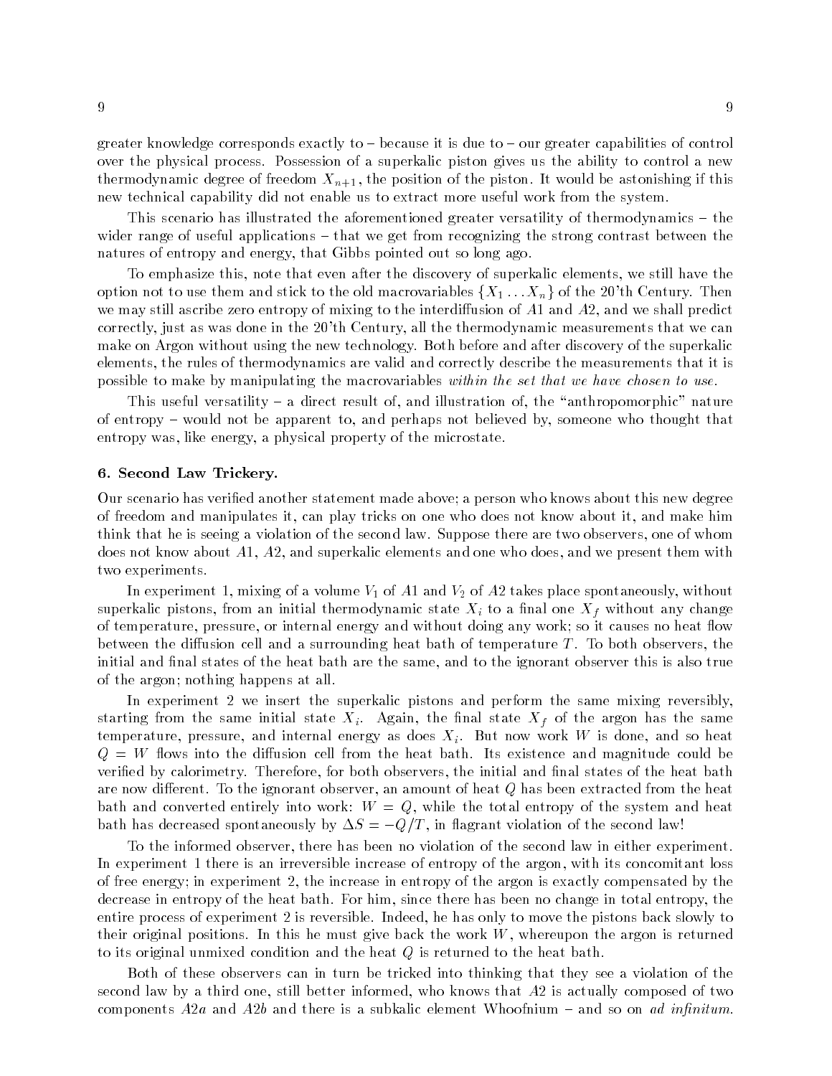greater knowledge corresponds exactly to  ${\bf -}$  because it is due to  ${\bf -}$  our greater capabilities of control over the physical process. Possession of a superkalic piston gives us the ability to control a new thermodynamic degree of freedom  $X_{n+1}$ , the position of the piston. It would be astonishing if this new technical capability did not enable us to extract more useful work from the system.

This scenario has illustrated the aforementioned greater versatility of thermodynamics  $-$  the wider range of useful applications  $-$  that we get from recognizing the strong contrast between the natures of entropy and energy, that Gibbs pointed out so long ago.

To emphasize this, note that even after the discovery of superkalic elements, we still have the option not to use them and stick to the old macrovariables  $\{X_1 \ldots X_n\}$  of the 20'th Century. Then we may still ascribe zero entropy of mixing to the interdiffusion of  $A1$  and  $A2$ , and we shall predict correctly, just as was done in the 20'th Century, all the thermodynamic measurements that we can make on Argon without using the new technology. Both before and after discovery of the superkalic elements, the rules of thermodynamics are valid and correctly describe the measurements that it is possible to make by manipulating the macrovariables within the set that we have chosen to use.

This useful versatility  $-$  a direct result of, and illustration of, the "anthropomorphic" nature of entropy – would not be apparent to, and perhaps not believed by, someone who thought that entropy was, like energy, a physical property of the microstate.

### 6. Second Law Trickery.

Our scenario has veried another statement made above; a person who knows about this new degree of freedom and manipulates it, can play tricks on one who does not know about it, and make him think that he is seeing a violation of the second law. Suppose there are two observers, one of whom does not know about  $A1$ ,  $A2$ , and superkalic elements and one who does, and we present them with two experiments.

In experiment 1, mixing of a volume  $V_1$  of A1 and  $V_2$  of A2 takes place spontaneously, without superkalic pistons, from an initial thermodynamic state  $\mathcal{N}$  to a nal one  $\mathcal{N}$  and  $\mathcal{N}$  and  $\mathcal{N}$ of temperature, pressure, or internal energy and without doing any work; so it causes no heat flow between the diffusion cell and a surrounding heat bath of temperature  $T$ . To both observers, the initial and final states of the heat bath are the same, and to the ignorant observer this is also true of the argon; nothing happens at all.

In experiment 2 we insert the superkalic pistons and perform the same mixing reversibly, starting from the same initial state  $\mu$  . Again, the argon has the same initial state  $\mu$ temperature, pressure, and internal energy as does  $X_i$ . But now work W is done, and so heat  $Q = W$  flows into the diffusion cell from the heat bath. Its existence and magnitude could be verified by calorimetry. Therefore, for both observers, the initial and final states of the heat bath are now different. To the ignorant observer, an amount of heat  $Q$  has been extracted from the heat bath and converted entirely into work:  $W = Q$ , while the total entropy of the system and heat bath has decreased spontaneously by  $\Delta S = -Q/T$ , in flagrant violation of the second law!

To the informed observer, there has been no violation of the second law in either experiment. In experiment 1 there is an irreversible increase of entropy of the argon, with its concomitant loss of free energy; in experiment 2, the increase in entropy of the argon is exactly compensated by the decrease in entropy of the heat bath. For him, since there has been no change in total entropy, the entire process of experiment 2 is reversible. Indeed, he has only to move the pistons back slowly to their original positions. In this he must give back the work  $W$ , whereupon the argon is returned to its original unmixed condition and the heat Q is returned to the heat bath.

Both of these observers can in turn be tricked into thinking that they see a violation of the second law by a third one, still better informed, who knows that A2 is actually composed of two components A2a and A2b and there is a subkalic element Whoofnium  $-$  and so on ad infinitum.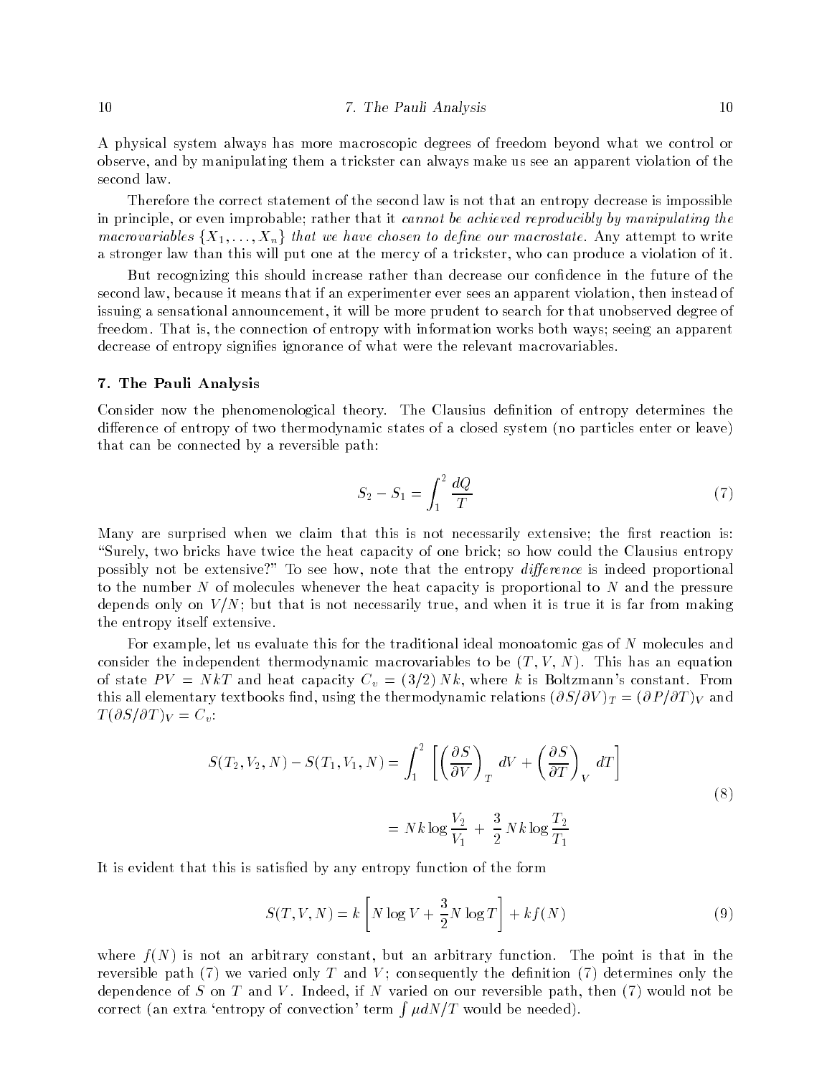A physical system always has more macroscopic degrees of freedom beyond what we control or observe, and by manipulating them a trickster can always make us see an apparent violation of the second law.

Therefore the correct statement of the second law is not that an entropy decrease is impossible in principle, or even improbable; rather that it cannot be achieved reproducibly by manipulating the macrovariables  $\{X_1, \ldots, X_n\}$  that we have chosen to define our macrostate. Any attempt to write a stronger law than this will put one at the mercy of a trickster, who can produce a violation of it.

But recognizing this should increase rather than decrease our condence in the future of the second law, because it means that if an experimenter ever sees an apparent violation, then instead of issuing a sensational announcement, it will be more prudent to search for that unobserved degree of freedom. That is, the connection of entropy with information works both ways; seeing an apparent decrease of entropy signies ignorance of what were the relevant macrovariables.

#### 7. The Pauli Analysis

Consider now the phenomenological theory. The Clausius definition of entropy determines the difference of entropy of two thermodynamic states of a closed system (no particles enter or leave) that can be connected by a reversible path:

$$
S_2 - S_1 = \int_1^2 \frac{dQ}{T}
$$
 (7)

Many are surprised when we claim that this is not necessarily extensive; the first reaction is: "Surely, two bricks have twice the heat capacity of one brick; so how could the Clausius entropy possibly not be extensive?" To see how, note that the entropy *difference* is indeed proportional to the number N of molecules whenever the heat capacity is proportional to N and the pressure depends only on  $V/N$ ; but that is not necessarily true, and when it is true it is far from making the entropy itself extensive.

For example, let us evaluate this for the traditional ideal monoatomic gas of N molecules and consider the independent thermodynamic macrovariables to be  $(T, V, N)$ . This has an equation of state  $PV = NkT$  and heat capacity  $C_v = (3/2) Nk$ , where k is Boltzmann's constant. From this all elementary textbooks in the theorem in the theorem in the theorem in the theorem in the three contracts ( $\alpha$  $\mathbf{v} = \mathbf{v} \cdot \mathbf{v}$  , we can be expected to the contract of  $\mathbf{v}$ 

$$
S(T_2, V_2, N) - S(T_1, V_1, N) = \int_1^2 \left[ \left( \frac{\partial S}{\partial V} \right)_T dV + \left( \frac{\partial S}{\partial T} \right)_V dT \right]
$$
  
=  $Nk \log \frac{V_2}{V_1} + \frac{3}{2} Nk \log \frac{T_2}{T_1}$  (8)

**V 1 1** 

It is evident that this is satisfied by any entropy function of the form

$$
S(T, V, N) = k \left[ N \log V + \frac{3}{2} N \log T \right] + k f(N)
$$
\n(9)

 $-1$ 

where  $f(N)$  is not an arbitrary constant, but an arbitrary function. The point is that in the reversible path  $(7)$  we varied only T and V; consequently the definition  $(7)$  determines only the dependence of S on T and V. Indeed, if N varied on our reversible path, then  $(7)$  would not be correct (an extra 'entropy of convection' term  $\int \mu dN/T$  would be needed).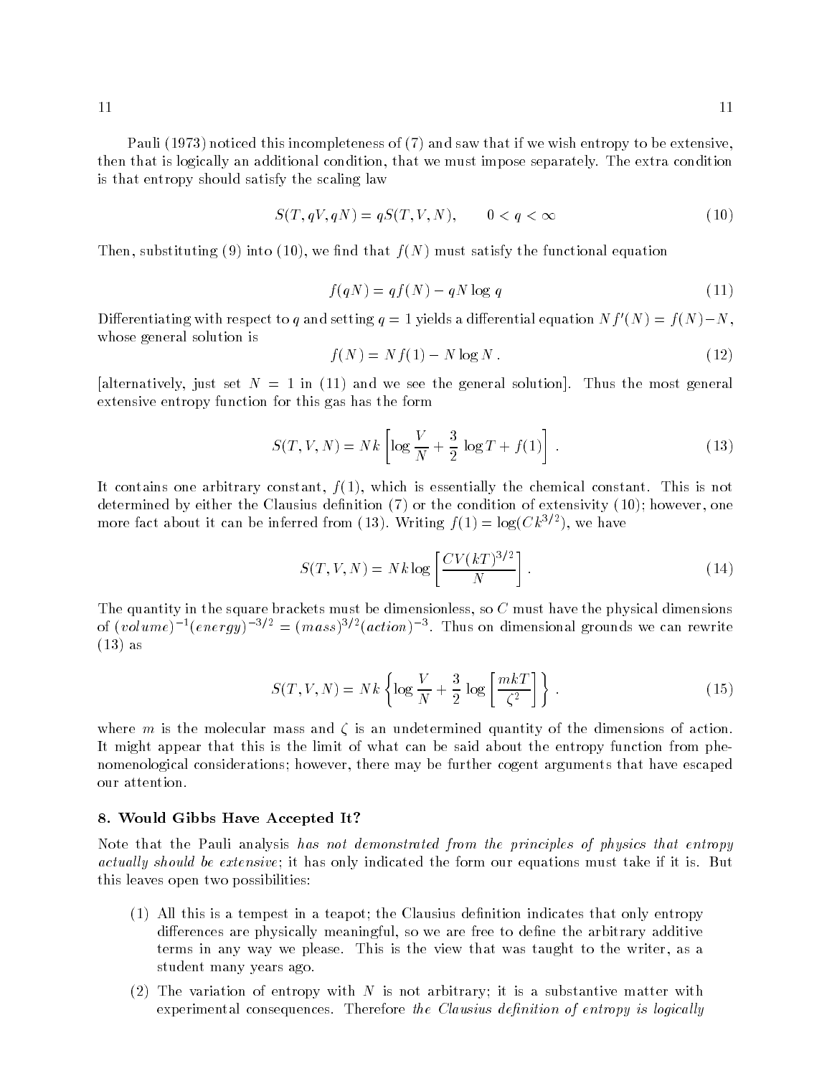Pauli (1973) noticed this incompleteness of (7) and saw that if we wish entropy to be extensive, then that is logically an additional condition, that we must impose separately. The extra condition is that entropy should satisfy the scaling law

$$
S(T, qV, qN) = qS(T, V, N), \qquad 0 < q < \infty \tag{10}
$$

Then, substituting (9) into (10), we find that  $f(N)$  must satisfy the functional equation

$$
f(qN) = qf(N) - qN \log q \tag{11}
$$

Differentiating with respect to q and setting  $q = 1$  yields a differential equation  $N f'(N) = f(N) - N$ , whose general solution is

$$
f(N) = Nf(1) - N\log N.
$$
\n<sup>(12)</sup>

[alternatively, just set  $N = 1$  in (11) and we see the general solution]. Thus the most general extensive entropy function for this gas has the form

$$
S(T, V, N) = Nk \left[ \log \frac{V}{N} + \frac{3}{2} \log T + f(1) \right].
$$
 (13)

It contains one arbitrary constant,  $f(1)$ , which is essentially the chemical constant. This is not determined by either the Clausius definition  $(7)$  or the condition of extensivity  $(10)$ ; however, one more fact about it can be inferred from (13). Writing  $f(1) = \log(Ck^{3/2})$ , we have

$$
S(T, V, N) = Nk \log \left[ \frac{CV(kT)^{3/2}}{N} \right].
$$
 (14)

The quantity in the square brackets must be dimensionless, so  $C$  must have the physical dimensions of (volume)  $\lnot$  (energy)  $\lnot\lnot= (mass) \lnot (action)$  . Thus on dimensional grounds we can rewrite (13) as

$$
S(T, V, N) = Nk \left\{ \log \frac{V}{N} + \frac{3}{2} \log \left[ \frac{mkT}{\zeta^2} \right] \right\}.
$$
 (15)

where m is the molecular mass and  $\zeta$  is an undetermined quantity of the dimensions of action. It might appear that this is the limit of what can be said about the entropy function from phenomenological considerations; however, there may be further cogent arguments that have escaped our attention.

#### 8. Would Gibbs Have Accepted It?

Note that the Pauli analysis has not demonstrated from the principles of physics that entropy actually should be extensive; it has only indicated the form our equations must take if it is. But this leaves open two possibilities:

- $(1)$  All this is a tempest in a teapot; the Clausius definition indicates that only entropy differences are physically meaningful, so we are free to define the arbitrary additive terms in any way we please. This is the view that was taught to the writer, as a student many years ago.
- (2) The variation of entropy with N is not arbitrary; it is a substantive matter with experimental consequences. Therefore the Clausius definition of entropy is logically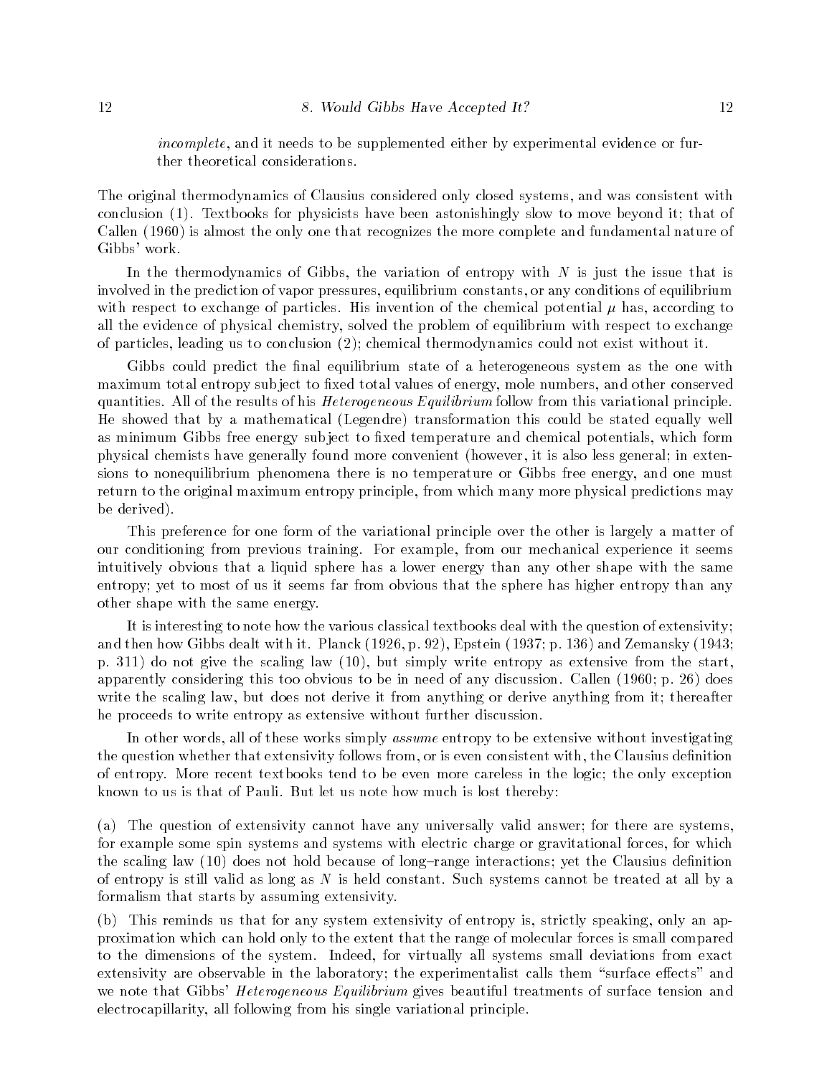incomplete, and it needs to be supplemented either by experimental evidence or further theoretical considerations.

The original thermodynamics of Clausius considered only closed systems, and was consistent with conclusion (1). Textbooks for physicists have been astonishingly slow to move beyond it; that of Callen (1960) is almost the only one that recognizes the more complete and fundamental nature of Gibbs' work.

In the thermodynamics of Gibbs, the variation of entropy with  $N$  is just the issue that is involved in the prediction of vapor pressures, equilibrium constants, or any conditions of equilibrium with respect to exchange of particles. His invention of the chemical potential  $\mu$  has, according to all the evidence of physical chemistry, solved the problem of equilibrium with respect to exchange of particles, leading us to conclusion (2); chemical thermodynamics could not exist without it.

Gibbs could predict the final equilibrium state of a heterogeneous system as the one with maximum total entropy subject to fixed total values of energy, mole numbers, and other conserved quantities. All of the results of his *Heterogeneous Equilibrium* follow from this variational principle. He showed that by a mathematical (Legendre) transformation this could be stated equally well as minimum Gibbs free energy subject to fixed temperature and chemical potentials, which form physical chemists have generally found more convenient (however, it is also less general; in extensions to nonequilibrium phenomena there is no temperature or Gibbs free energy, and one must return to the original maximum entropy principle, from which many more physical predictions may be derived).

This preference for one form of the variational principle over the other is largely a matter of our conditioning from previous training. For example, from our mechanical experience it seems intuitively obvious that a liquid sphere has a lower energy than any other shape with the same entropy; yet to most of us it seems far from obvious that the sphere has higher entropy than any other shape with the same energy.

It is interesting to note how the various classical textbooks deal with the question of extensivity; and then how Gibbs dealt with it. Planck (1926, p. 92), Epstein (1937; p. 136) and Zemansky (1943; p. 311) do not give the scaling law (10), but simply write entropy as extensive from the start, apparently considering this too obvious to be in need of any discussion. Callen (1960; p. 26) does write the scaling law, but does not derive it from anything or derive anything from it; thereafter he proceeds to write entropy as extensive without further discussion.

In other words, all of these works simply *assume* entropy to be extensive without investigating the question whether that extensivity follows from, or is even consistent with, the Clausius definition of entropy. More recent textbooks tend to be even more careless in the logic; the only exception known to us is that of Pauli. But let us note how much is lost thereby:

(a) The question of extensivity cannot have any universally valid answer; for there are systems, for example some spin systems and systems with electric charge or gravitational forces, for which the scaling law  $(10)$  does not hold because of long-range interactions; yet the Clausius definition of entropy is still valid as long as  $N$  is held constant. Such systems cannot be treated at all by a formalism that starts by assuming extensivity.

(b) This reminds us that for any system extensivity of entropy is, strictly speaking, only an approximation which can hold only to the extent that the range of molecular forces is small compared to the dimensions of the system. Indeed, for virtually all systems small deviations from exact extensivity are observable in the laboratory; the experimentalist calls them "surface effects" and we note that Gibbs' *Heterogeneous Equilibrium* gives beautiful treatments of surface tension and electrocapillarity, all following from his single variational principle.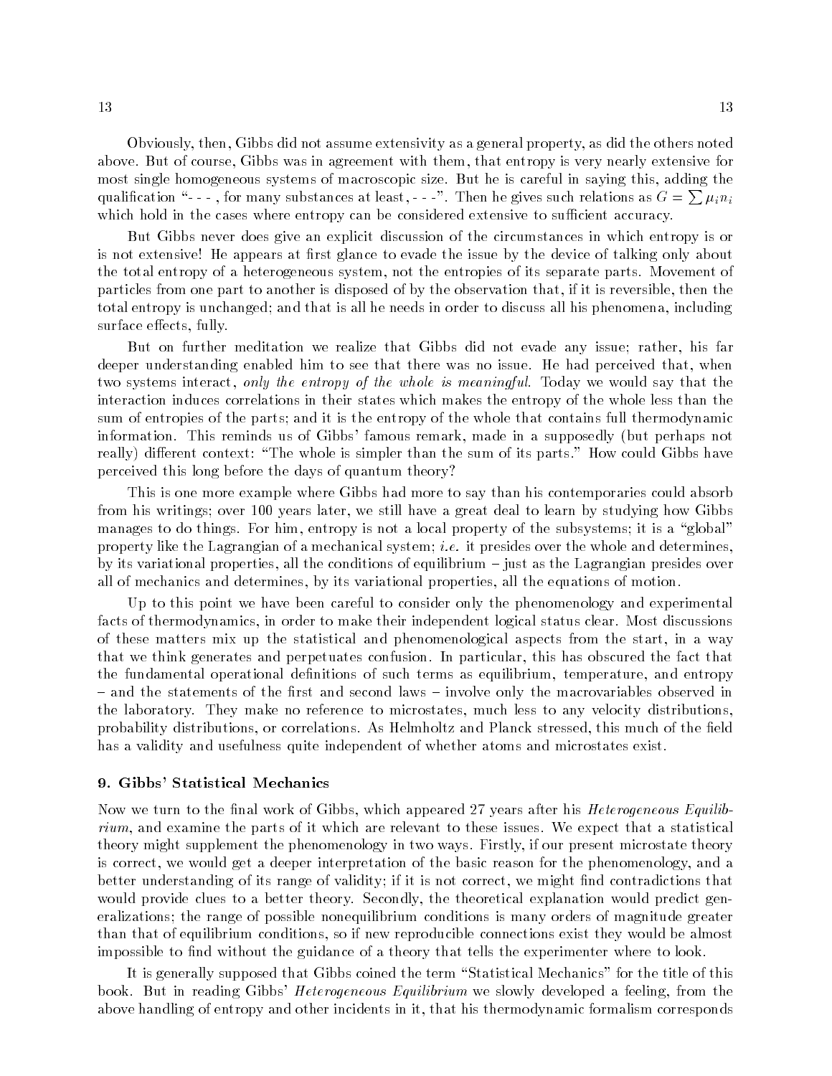Obviously, then, Gibbs did not assume extensivity as a general property, as did the others noted above. But of course, Gibbs was in agreement with them, that entropy is very nearly extensive for most single homogeneous systems of macroscopic size. But he is careful in saying this, adding the qualification "---, for many substances at least, ---". Then he gives such relations as  $G = \sum \mu_i n_i$ which hold in the cases where entropy can be considered extensive to sufficient accuracy.

But Gibbs never does give an explicit discussion of the circumstances in which entropy is or is not extensive! He appears at first glance to evade the issue by the device of talking only about the total entropy of a heterogeneous system, not the entropies of its separate parts. Movement of particles from one part to another is disposed of by the observation that, if it is reversible, then the total entropy is unchanged; and that is all he needs in order to discuss all his phenomena, including surface effects, fully.

But on further meditation we realize that Gibbs did not evade any issue; rather, his far deeper understanding enabled him to see that there was no issue. He had perceived that, when two systems interact, only the entropy of the whole is meaningful. Today we would say that the interaction induces correlations in their states which makes the entropy of the whole less than the sum of entropies of the parts; and it is the entropy of the whole that contains full thermodynamic information. This reminds us of Gibbs' famous remark, made in a supposedly (but perhaps not really) different context: "The whole is simpler than the sum of its parts." How could Gibbs have perceived this long before the days of quantum theory?

This is one more example where Gibbs had more to say than his contemporaries could absorb from his writings; over 100 years later, we still have a great deal to learn by studying how Gibbs manages to do things. For him, entropy is not a local property of the subsystems; it is a "global" property like the Lagrangian of a mechanical system; *i.e.* it presides over the whole and determines. by its variational properties, all the conditions of equilibrium  ${\bf -}$  just as the Lagrangian presides over all of mechanics and determines, by its variational properties, all the equations of motion.

Up to this point we have been careful to consider only the phenomenology and experimental facts of thermodynamics, in order to make their independent logical status clear. Most discussions of these matters mix up the statistical and phenomenological aspects from the start, in a way that we think generates and perpetuates confusion. In particular, this has obscured the fact that the fundamental operational definitions of such terms as equilibrium, temperature, and entropy  $-$  and the statements of the first and second laws  $-$  involve only the macrovariables observed in the laboratory. They make no reference to microstates, much less to any velocity distributions, probability distributions, or correlations. As Helmholtz and Planck stressed, this much of the field has a validity and usefulness quite independent of whether atoms and microstates exist.

## 9. Gibbs' Statistical Mechanics

Now we turn to the final work of Gibbs, which appeared 27 years after his *Heterogeneous Equilib*rium, and examine the parts of it which are relevant to these issues. We expect that a statistical theory might supplement the phenomenology in two ways. Firstly, if our present microstate theory is correct, we would get a deeper interpretation of the basic reason for the phenomenology, and a better understanding of its range of validity; if it is not correct, we might find contradictions that would provide clues to a better theory. Secondly, the theoretical explanation would predict generalizations; the range of possible nonequilibrium conditions is many orders of magnitude greater than that of equilibrium conditions, so if new reproducible connections exist they would be almost impossible to find without the guidance of a theory that tells the experimenter where to look.

It is generally supposed that Gibbs coined the term "Statistical Mechanics" for the title of this book. But in reading Gibbs' *Heterogeneous Equilibrium* we slowly developed a feeling, from the above handling of entropy and other incidents in it, that his thermodynamic formalism corresponds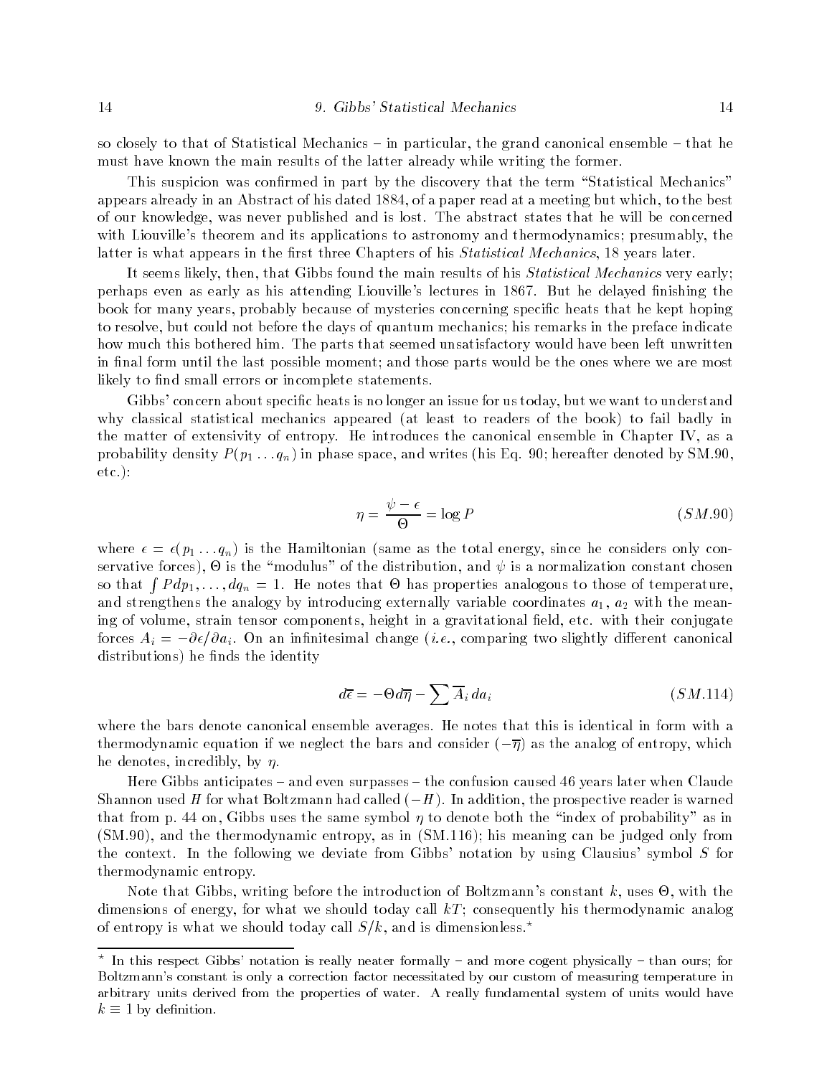so closely to that of Statistical Mechanics  ${\bf -}$  in particular, the grand canonical ensemble  ${\bf -}$  that he must have known the main results of the latter already while writing the former.

This suspicion was confirmed in part by the discovery that the term "Statistical Mechanics" appears already in an Abstract of his dated 1884, of a paper read at a meeting but which, to the best of our knowledge, was never published and is lost. The abstract states that he will be concerned with Liouville's theorem and its applications to astronomy and thermodynamics; presumably, the latter is what appears in the first three Chapters of his *Statistical Mechanics*, 18 years later.

It seems likely, then, that Gibbs found the main results of his Statistical Mechanics very early; perhaps even as early as his attending Liouville's lectures in 1867. But he delayed finishing the book for many years, probably because of mysteries concerning specific heats that he kept hoping to resolve, but could not before the days of quantum mechanics; his remarks in the preface indicate how much this bothered him. The parts that seemed unsatisfactory would have been left unwritten in final form until the last possible moment; and those parts would be the ones where we are most likely to find small errors or incomplete statements.

Gibbs' concern about specic heats is no longer an issue for us today, but we want to understand why classical statistical mechanics appeared (at least to readers of the book) to fail badly in the matter of extensivity of entropy. He introduces the canonical ensemble in Chapter IV, as a probability density  $P(p_1 \ldots q_n)$  in phase space, and writes (his Eq. 90; hereafter denoted by SM.90, etc.):

$$
\eta = \frac{\psi - \epsilon}{\Theta} = \log P \tag{SM.90}
$$

where  $\epsilon = \epsilon(p_1 \ldots q_n)$  is the Hamiltonian (same as the total energy, since he considers only conservative forces), -is the distribution, and is a normalization, and is a normalization, and is a normalization, and is a normalization, and is a normalization constant chosen chosen chosen chosen chosen chosen chosen cho so that  $\int P dp_1, \ldots, dq_n = 1$ . He notes that  $\Theta$  has properties analogous to those of temperature, and strengthens the analogy by introducing externally variable coordinates  $a_1, a_2$  with the meaning of volume, strain tensor components, height in a gravitational field, etc. with their conjugate forces  $A_i = -0\epsilon/\theta u_i$ . On an infinitesimal change (*i.e.*, comparing two slightly different canonical distributions) he finds the identity

$$
d\overline{\epsilon} = -\Theta d\overline{\eta} - \sum \overline{A}_i \, da_i \tag{SM.114}
$$

where the bars denote canonical ensemble averages. He notes that this is identical in form with a thermodynamic equation if we neglect the bars and consider  $(-\overline{\eta})$  as the analog of entropy, which he denotes, incredibly, by  $\eta$ .

Here Gibbs anticipates  $-$  and even surpasses  $-$  the confusion caused 46 years later when Claude Shannon used H for what Boltzmann had called  $(-H)$ . In addition, the prospective reader is warned that from p. 44 on, Gibbs uses the same symbol  $\eta$  to denote both the "index of probability" as in (SM.90), and the thermodynamic entropy, as in (SM.116); his meaning can be judged only from the context. In the following we deviate from Gibbs' notation by using Clausius' symbol S for thermodynamic entropy.

Note that Gibbs, writing before the introduction of Boltzmann's constant k, uses  $\Theta$ , with the dimensions of energy, for what we should today call  $kT$ ; consequently his thermodynamic analog of entropy is what we should today call  $S/k$ , and is dimensionless.<sup>\*</sup>

 $\star$  In this respect Gibbs' notation is really neater formally  $\sim$  and more cogent physically  $\sim$  than ours; for Boltzmann's constant is only a correction factor necessitated by our custom of measuring temperature in arbitrary units derived from the properties of water. A really fundamental system of units would have  $k \equiv 1$  by definition.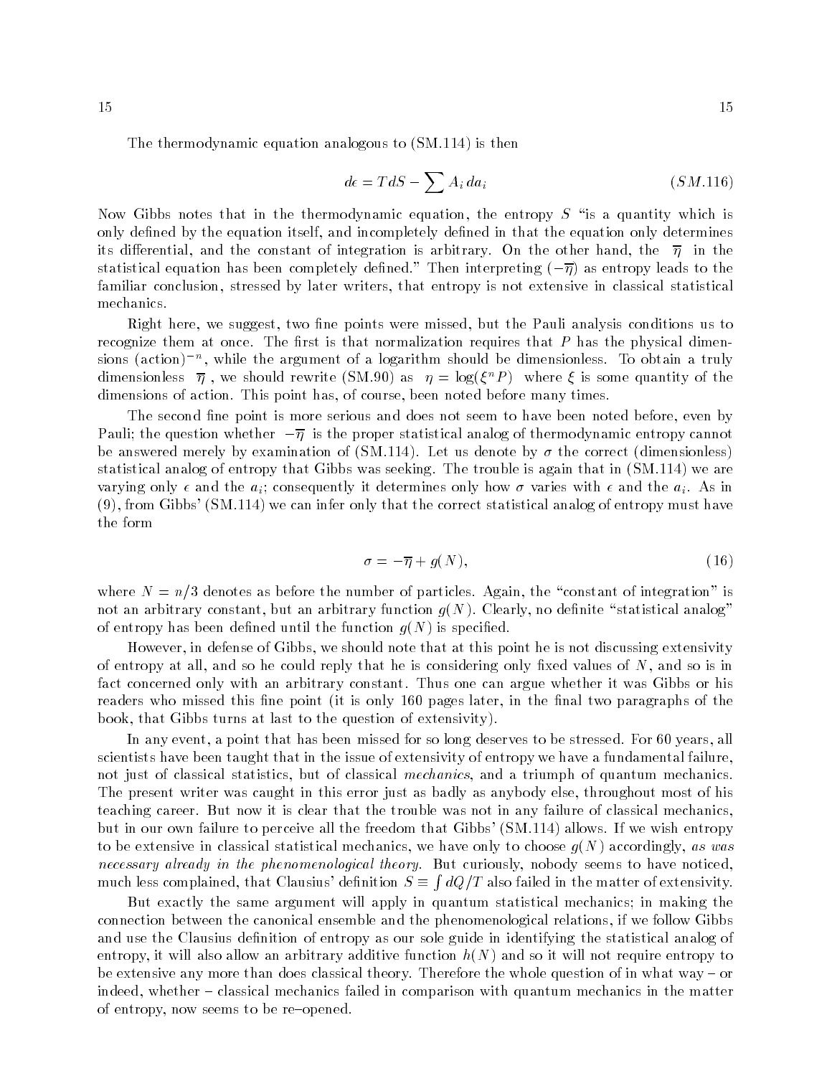The thermodynamic equation analogous to (SM.114) is then

$$
d\epsilon = TdS - \sum A_i \, da_i \tag{SM.116}
$$

Now Gibbs notes that in the thermodynamic equation, the entropy  $S$  "is a quantity which is only defined by the equation itself, and incompletely defined in that the equation only determines its differential, and the constant of integration is arbitrary. On the other hand, the  $\bar{\eta}$  in the statistical equation has been completely defined." Then interpreting  $(-\overline{\eta})$  as entropy leads to the familiar conclusion, stressed by later writers, that entropy is not extensive in classical statistical mechanics.

Right here, we suggest, two fine points were missed, but the Pauli analysis conditions us to recognize them at once. The first is that normalization requires that  $P$  has the physical dimensions (action) ", while the argument of a logarithm should be dimensionless. To obtain a truly dimensionless  $\overline{\eta}$ , we should rewrite (SM.90) as  $\eta = \log(\xi^n P)$  where  $\xi$  is some quantity of the dimensions of action. This point has, of course, been noted before many times.

The second fine point is more serious and does not seem to have been noted before, even by Pauli; the question whether  $-\overline{\eta}$  is the proper statistical analog of thermodynamic entropy cannot be answered merely by examination of  $(SM.114)$ . Let us denote by  $\sigma$  the correct (dimensionless) statistical analog of entropy that Gibbs was seeking. The trouble is again that in (SM.114) we are varying only  $\epsilon$  and the  $a_i$ ; consequently it determines only how  $\sigma$  varies with  $\epsilon$  and the  $a_i$ . As in (9), from Gibbs' (SM.114) we can infer only that the correct statistical analog of entropy must have the form

$$
\sigma = -\overline{\eta} + g(N),\tag{16}
$$

where  $N = n/3$  denotes as before the number of particles. Again, the "constant of integration" is not an arbitrary constant, but an arbitrary function  $q(N)$ . Clearly, no definite "statistical analog" of entropy has been defined until the function  $g(N)$  is specified.

However, in defense of Gibbs, we should note that at this point he is not discussing extensivity of entropy at all, and so he could reply that he is considering only fixed values of  $N$ , and so is in fact concerned only with an arbitrary constant. Thus one can argue whether it was Gibbs or his readers who missed this fine point (it is only 160 pages later, in the final two paragraphs of the book, that Gibbs turns at last to the question of extensivity).

In any event, a point that has been missed for so long deserves to be stressed. For 60 years, all scientists have been taught that in the issue of extensivity of entropy we have a fundamental failure, not just of classical statistics, but of classical *mechanics*, and a triumph of quantum mechanics. The present writer was caught in this error just as badly as anybody else, throughout most of his teaching career. But now it is clear that the trouble was not in any failure of classical mechanics, but in our own failure to perceive all the freedom that Gibbs' (SM.114) allows. If we wish entropy to be extensive in classical statistical mechanics, we have only to choose  $g(N)$  accordingly, as was necessary already in the phenomenological theory. But curiously, nobody seems to have noticed, much less complained, that Clausius' definition  $S \equiv \int dQ$ decay failed in the matter of extensivity. The matter of extensivity  $\mathcal{A}$ 

But exactly the same argument will apply in quantum statistical mechanics; in making the connection between the canonical ensemble and the phenomenological relations, if we follow Gibbs and use the Clausius definition of entropy as our sole guide in identifying the statistical analog of entropy, it will also allow an arbitrary additive function  $h(N)$  and so it will not require entropy to be extensive any more than does classical theory. Therefore the whole question of in what way  $-$  or indeed, whether – classical mechanics failed in comparison with quantum mechanics in the matter of entropy, now seems to be re-opened.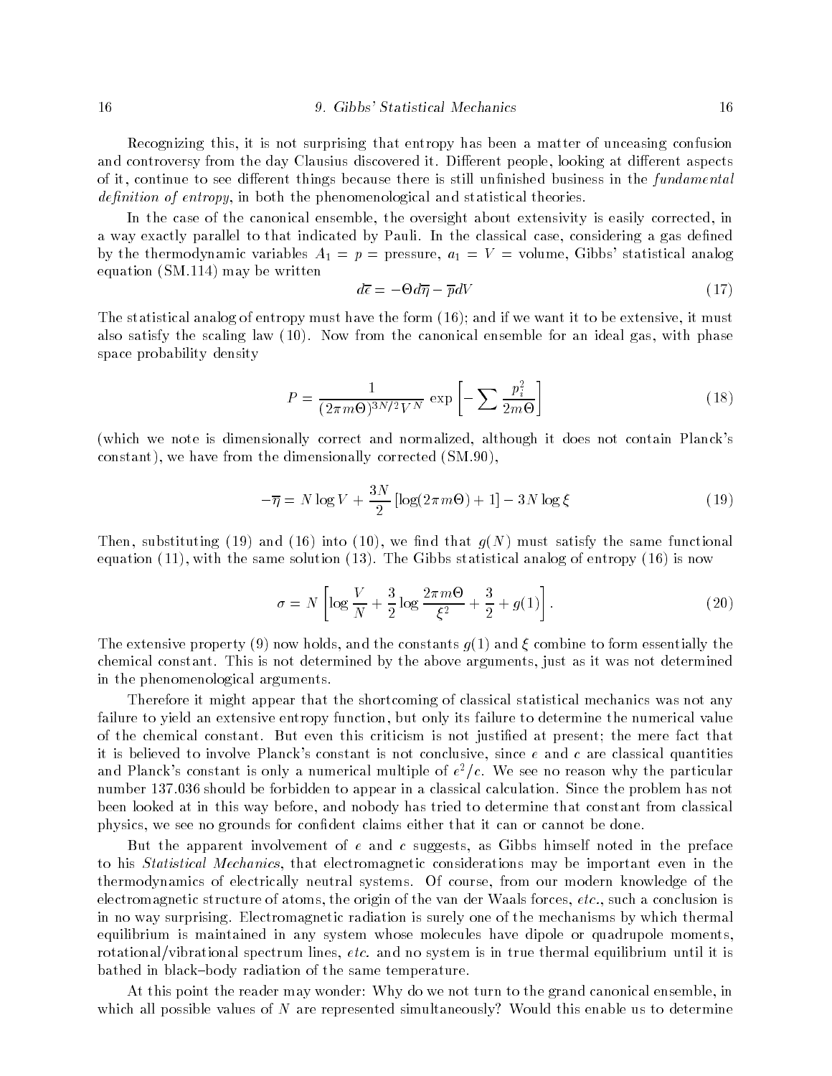Recognizing this, it is not surprising that entropy has been a matter of unceasing confusion and controversy from the day Clausius discovered it. Different people, looking at different aspects of it, continue to see different things because there is still unfinished business in the *fundamental*  $definition of entropy$ , in both the phenomenological and statistical theories.

In the case of the canonical ensemble, the oversight about extensivity is easily corrected, in a way exactly parallel to that indicated by Pauli. In the classical case, considering a gas defined by the thermodynamic variables  $A_1 = p =$  pressure,  $a_1 = V =$  volume, Gibbs' statistical analog equation (SM.114) may be written

$$
d\overline{\epsilon} = -\Theta d\overline{\eta} - \overline{p}dV\tag{17}
$$

The statistical analog of entropy must have the form (16); and if we want it to be extensive, it must also satisfy the scaling law (10). Now from the canonical ensemble for an ideal gas, with phase space probability density

$$
P = \frac{1}{(2\pi m\Theta)^{3N/2}V^N} \exp\left[-\sum \frac{p_i^2}{2m\Theta}\right]
$$
 (18)

(which we note is dimensionally correct and normalized, although it does not contain Planck's constant), we have from the dimensionally corrected (SM.90),

$$
-\overline{\eta} = N \log V + \frac{3N}{2} \left[ \log(2\pi m\Theta) + 1 \right] - 3N \log \xi \tag{19}
$$

Then, substituting (19) and (16) into (10), we find that  $q(N)$  must satisfy the same functional equation  $(11)$ , with the same solution  $(13)$ . The Gibbs statistical analog of entropy  $(16)$  is now

$$
\sigma = N \left[ \log \frac{V}{N} + \frac{3}{2} \log \frac{2\pi m \Theta}{\xi^2} + \frac{3}{2} + g(1) \right].
$$
 (20)

The extensive property (9) now holds, and the constants  $q(1)$  and  $\xi$  combine to form essentially the chemical constant. This is not determined by the above arguments, just as it was not determined in the phenomenological arguments.

Therefore it might appear that the shortcoming of classical statistical mechanics was not any failure to yield an extensive entropy function, but only its failure to determine the numerical value of the chemical constant. But even this criticism is not justied at present; the mere fact that it is believed to involve Planck's constant is not conclusive, since  $e$  and  $c$  are classical quantities and Planck's constant is only a numerical multiple of  $e^2/c$ . We see no reason why the particular number 137.036 should be forbidden to appear in a classical calculation. Since the problem has not been looked at in this way before, and nobody has tried to determine that constant from classical physics, we see no grounds for confident claims either that it can or cannot be done.

But the apparent involvement of  $e$  and  $c$  suggests, as Gibbs himself noted in the preface to his Statistical Mechanics, that electromagnetic considerations may be important even in the thermodynamics of electrically neutral systems. Of course, from our modern knowledge of the electromagnetic structure of atoms, the origin of the van der Waals forces, etc., such a conclusion is in no way surprising. Electromagnetic radiation is surely one of the mechanisms by which thermal equilibrium is maintained in any system whose molecules have dipole or quadrupole moments, rotational/vibrational spectrum lines, etc. and no system is in true thermal equilibrium until it is bathed in black-body radiation of the same temperature.

At this point the reader may wonder: Why do we not turn to the grand canonical ensemble, in which all possible values of  $N$  are represented simultaneously? Would this enable us to determine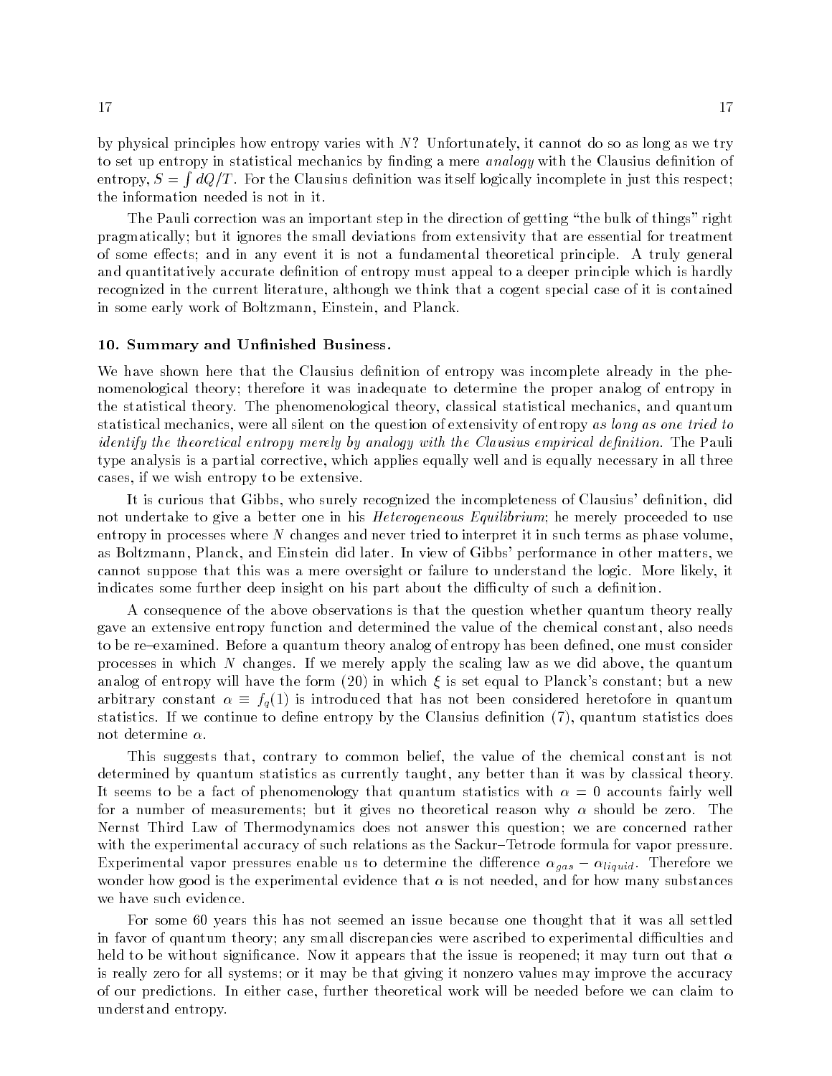The Pauli correction was an important step in the direction of getting \the bulk of things" right pragmatically; but it ignores the small deviations from extensivity that are essential for treatment of some effects; and in any event it is not a fundamental theoretical principle. A truly general and quantitatively accurate definition of entropy must appeal to a deeper principle which is hardly recognized in the current literature, although we think that a cogent special case of it is contained in some early work of Boltzmann, Einstein, and Planck.

### 10. Summary and Unfinished Business.

We have shown here that the Clausius definition of entropy was incomplete already in the phenomenological theory; therefore it was inadequate to determine the proper analog of entropy in the statistical theory. The phenomenological theory, classical statistical mechanics, and quantum statistical mechanics, were all silent on the question of extensivity of entropy as long as one tried to *identify the theoretical entropy merely by analogy with the Clausius empirical definition.* The Pauli type analysis is a partial corrective, which applies equally well and is equally necessary in all three cases, if we wish entropy to be extensive.

It is curious that Gibbs, who surely recognized the incompleteness of Clausius' definition, did not undertake to give a better one in his *Heterogeneous Equilibrium*; he merely proceeded to use entropy in processes where  $N$  changes and never tried to interpret it in such terms as phase volume, as Boltzmann, Planck, and Einstein did later. In view of Gibbs' performance in other matters, we cannot suppose that this was a mere oversight or failure to understand the logic. More likely, it indicates some further deep insight on his part about the difficulty of such a definition.

A consequence of the above observations is that the question whether quantum theory really gave an extensive entropy function and determined the value of the chemical constant, also needs to be re-examined. Before a quantum theory analog of entropy has been defined, one must consider processes in which  $N$  changes. If we merely apply the scaling law as we did above, the quantum analog of entropy will have the form (20) in which  $\xi$  is set equal to Planck's constant; but a new arbitrary constant  $\alpha \equiv f_q(1)$  is introduced that has not been considered heretofore in quantum statistics. If we continue to define entropy by the Clausius definition  $(7)$ , quantum statistics does not determine  $\alpha$ .

This suggests that, contrary to common belief, the value of the chemical constant is not determined by quantum statistics as currently taught, any better than it was by classical theory. It seems to be a fact of phenomenology that quantum statistics with  $\alpha = 0$  accounts fairly well for a number of measurements; but it gives no theoretical reason why  $\alpha$  should be zero. The Nernst Third Law of Thermodynamics does not answer this question; we are concerned rather with the experimental accuracy of such relations as the Sackur–Tetrode formula for vapor pressure. Experimental vapor pressures enable us to determine the difference  $\alpha_{gas} - \alpha_{liquid}$ . Therefore we wonder how good is the experimental evidence that  $\alpha$  is not needed, and for how many substances we have such evidence.

For some 60 years this has not seemed an issue because one thought that it was all settled in favor of quantum theory; any small discrepancies were ascribed to experimental difficulties and held to be without significance. Now it appears that the issue is reopened; it may turn out that  $\alpha$ is really zero for all systems; or it may be that giving it nonzero values may improve the accuracy of our predictions. In either case, further theoretical work will be needed before we can claim to understand entropy.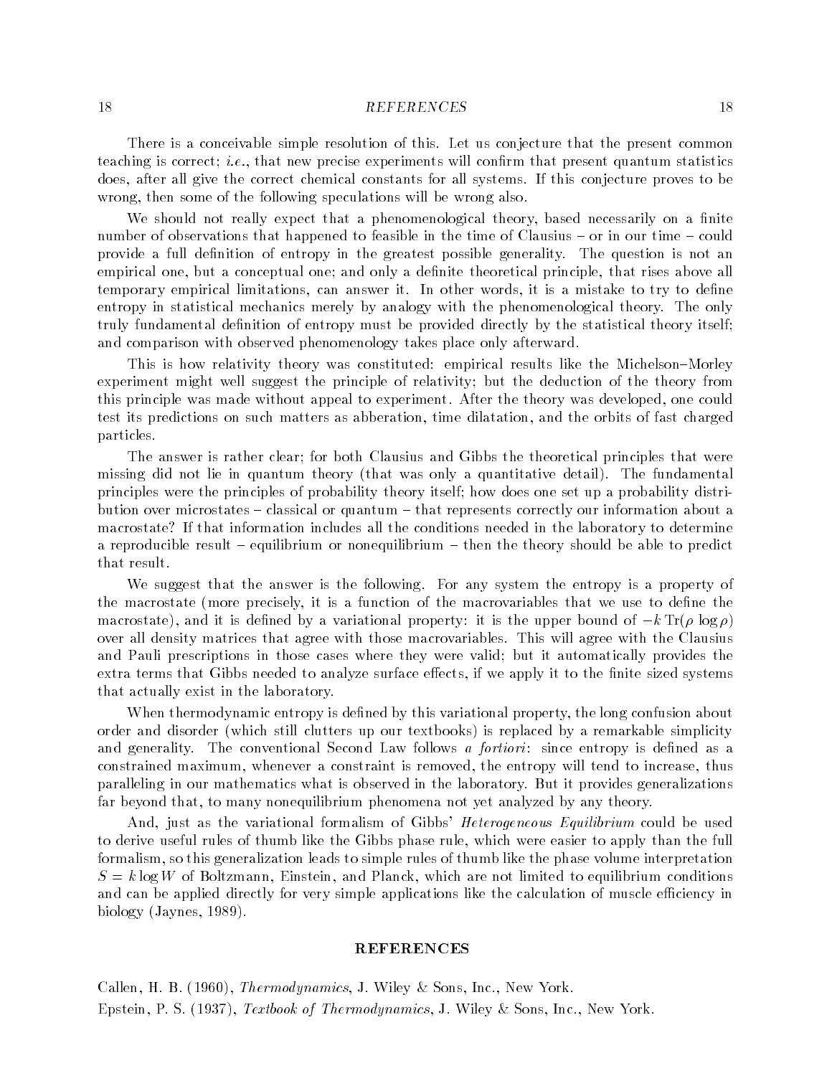#### **REFERENCES**

There is a conceivable simple resolution of this. Let us conjecture that the present common teaching is correct; *i.e.*, that new precise experiments will confirm that present quantum statistics does, after all give the correct chemical constants for all systems. If this conjecture proves to be wrong, then some of the following speculations will be wrong also.

We should not really expect that a phenomenological theory, based necessarily on a finite number of observations that happened to feasible in the time of Clausius  $-$  or in our time  $-$  could provide a full definition of entropy in the greatest possible generality. The question is not an empirical one, but a conceptual one; and only a denite theoretical principle, that rises above all temporary empirical limitations, can answer it. In other words, it is a mistake to try to dene entropy in statistical mechanics merely by analogy with the phenomenological theory. The only truly fundamental definition of entropy must be provided directly by the statistical theory itself; and comparison with observed phenomenology takes place only afterward.

This is how relativity theory was constituted: empirical results like the Michelson–Morley experiment might well suggest the principle of relativity; but the deduction of the theory from this principle was made without appeal to experiment. After the theory was developed, one could test its predictions on such matters as abberation, time dilatation, and the orbits of fast charged particles.

The answer is rather clear; for both Clausius and Gibbs the theoretical principles that were missing did not lie in quantum theory (that was only a quantitative detail). The fundamental principles were the principles of probability theory itself; how does one set up a probability distribution over microstates  $-$  classical or quantum  $-$  that represents correctly our information about a macrostate? If that information includes all the conditions needed in the laboratory to determine a reproducible result  $-$  equilibrium or nonequilibrium  $-$  then the theory should be able to predict that result.

We suggest that the answer is the following. For any system the entropy is a property of the macrostate (more precisely, it is a function of the macrovariables that we use to define the macrostate), and it is defined by a variational property: it is the upper bound of  $-k \operatorname{Tr}(\rho \log \rho)$ over all density matrices that agree with those macrovariables. This will agree with the Clausius and Pauli prescriptions in those cases where they were valid; but it automatically provides the extra terms that Gibbs needed to analyze surface effects, if we apply it to the finite sized systems that actually exist in the laboratory.

When thermodynamic entropy is defined by this variational property, the long confusion about order and disorder (which still clutters up our textbooks) is replaced by a remarkable simplicity and generality. The conventional Second Law follows a fortiori: since entropy is defined as a constrained maximum, whenever a constraint is removed, the entropy will tend to increase, thus paralleling in our mathematics what is observed in the laboratory. But it provides generalizations far beyond that, to many nonequilibrium phenomena not yet analyzed by any theory.

And, just as the variational formalism of Gibbs' Heterogeneous Equilibrium could be used to derive useful rules of thumb like the Gibbs phase rule, which were easier to apply than the full formalism, so this generalization leads to simple rules of thumb like the phase volume interpretation  $S = k \log W$  of Boltzmann, Einstein, and Planck, which are not limited to equilibrium conditions and can be applied directly for very simple applications like the calculation of muscle efficiency in biology (Jaynes, 1989).

# REFERENCES

Callen, H. B. (1960), Thermodynamics, J. Wiley & Sons, Inc., New York. Epstein, P. S. (1937), Textbook of Thermodynamics, J. Wiley & Sons, Inc., New York.